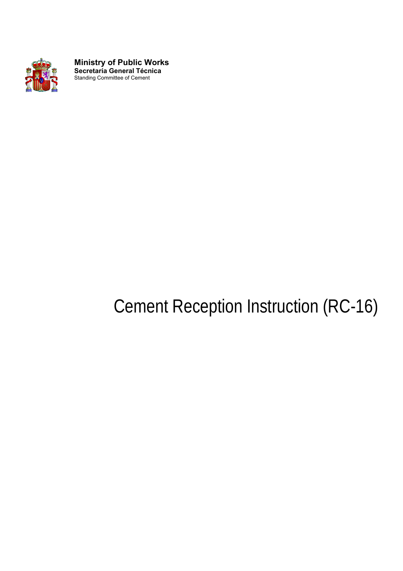

**Ministry of Public Works Secretaría General Técnica**  Standing Committee of Cement

# Cement Reception Instruction (RC-16)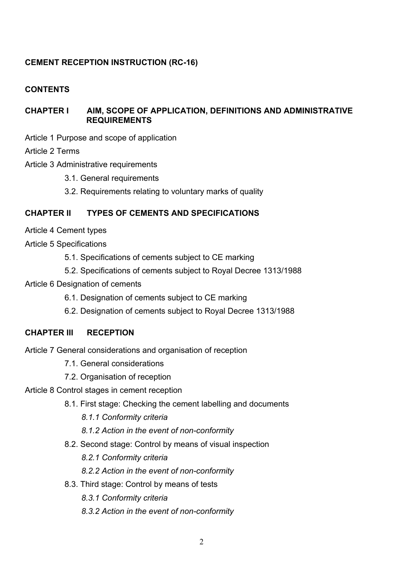# **CEMENT RECEPTION INSTRUCTION (RC-16)**

# **CONTENTS**

# **CHAPTER I AIM, SCOPE OF APPLICATION, DEFINITIONS AND ADMINISTRATIVE REQUIREMENTS**

Article 1 Purpose and scope of application

Article 2 Terms

- Article 3 Administrative requirements
	- 3.1. General requirements
	- 3.2. Requirements relating to voluntary marks of quality

## **CHAPTER II TYPES OF CEMENTS AND SPECIFICATIONS**

- Article 4 Cement types
- Article 5 Specifications
	- 5.1. Specifications of cements subject to CE marking
	- 5.2. Specifications of cements subject to Royal Decree 1313/1988
- Article 6 Designation of cements
	- 6.1. Designation of cements subject to CE marking
	- 6.2. Designation of cements subject to Royal Decree 1313/1988

# **CHAPTER III RECEPTION**

Article 7 General considerations and organisation of reception

- 7.1. General considerations
- 7.2. Organisation of reception
- Article 8 Control stages in cement reception
	- 8.1. First stage: Checking the cement labelling and documents
		- *8.1.1 Conformity criteria*
		- *8.1.2 Action in the event of non-conformity*
	- 8.2. Second stage: Control by means of visual inspection
		- *8.2.1 Conformity criteria*
		- *8.2.2 Action in the event of non-conformity*
	- 8.3. Third stage: Control by means of tests
		- *8.3.1 Conformity criteria*
		- *8.3.2 Action in the event of non-conformity*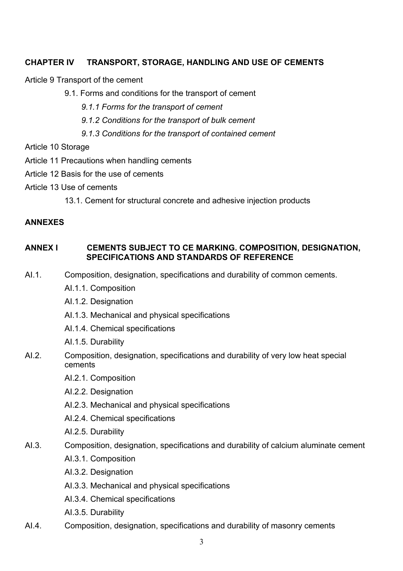# **CHAPTER IV TRANSPORT, STORAGE, HANDLING AND USE OF CEMENTS**

Article 9 Transport of the cement

- 9.1. Forms and conditions for the transport of cement
	- *9.1.1 Forms for the transport of cement*
	- *9.1.2 Conditions for the transport of bulk cement*
	- *9.1.3 Conditions for the transport of contained cement*

Article 10 Storage

- Article 11 Precautions when handling cements
- Article 12 Basis for the use of cements
- Article 13 Use of cements

13.1. Cement for structural concrete and adhesive injection products

## **ANNEXES**

# **ANNEX I CEMENTS SUBJECT TO CE MARKING. COMPOSITION, DESIGNATION, SPECIFICATIONS AND STANDARDS OF REFERENCE**

- AI.1. Composition, designation, specifications and durability of common cements.
	- AI.1.1. Composition
	- AI.1.2. Designation
	- AI.1.3. Mechanical and physical specifications
	- AI.1.4. Chemical specifications
	- AI.1.5. Durability
- AI.2. Composition, designation, specifications and durability of very low heat special cements
	- AI.2.1. Composition
	- AI.2.2. Designation
	- AI.2.3. Mechanical and physical specifications
	- AI.2.4. Chemical specifications
	- AI.2.5. Durability
- AI.3. Composition, designation, specifications and durability of calcium aluminate cement
	- AI.3.1. Composition
	- AI.3.2. Designation
	- AI.3.3. Mechanical and physical specifications
	- AI.3.4. Chemical specifications
	- AI.3.5. Durability
- AI.4. Composition, designation, specifications and durability of masonry cements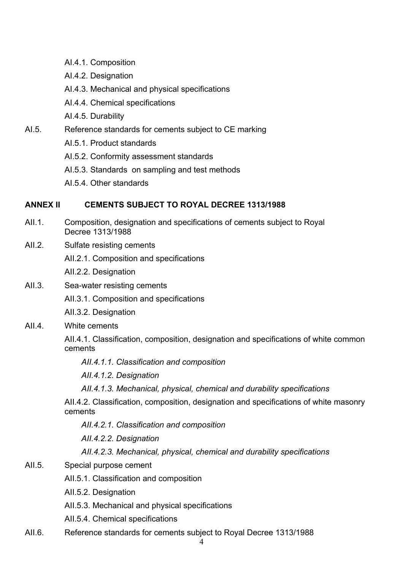- AI.4.1. Composition
- AI.4.2. Designation
- AI.4.3. Mechanical and physical specifications
- AI.4.4. Chemical specifications
- AI.4.5. Durability
- AI.5. Reference standards for cements subject to CE marking
	- AI.5.1. Product standards
	- AI.5.2. Conformity assessment standards
	- AI.5.3. Standards on sampling and test methods
	- AI.5.4. Other standards

## **ANNEX II CEMENTS SUBJECT TO ROYAL DECREE 1313/1988**

- AII.1. Composition, designation and specifications of cements subject to Royal Decree 1313/1988
- AII.2. Sulfate resisting cements
	- AII.2.1. Composition and specifications
	- AII.2.2. Designation
- AII.3. Sea-water resisting cements
	- AII.3.1. Composition and specifications
	- AII.3.2. Designation
- AII.4. White cements

AII.4.1. Classification, composition, designation and specifications of white common cements

*AII.4.1.1. Classification and composition*

*AII.4.1.2. Designation*

*AII.4.1.3. Mechanical, physical, chemical and durability specifications*

AII.4.2. Classification, composition, designation and specifications of white masonry cements

*AII.4.2.1. Classification and composition*

*AII.4.2.2. Designation*

*AII.4.2.3. Mechanical, physical, chemical and durability specifications*

- AII.5. Special purpose cement
	- AII.5.1. Classification and composition
	- AII.5.2. Designation
	- AII.5.3. Mechanical and physical specifications
	- AII.5.4. Chemical specifications
- AII.6. Reference standards for cements subject to Royal Decree 1313/1988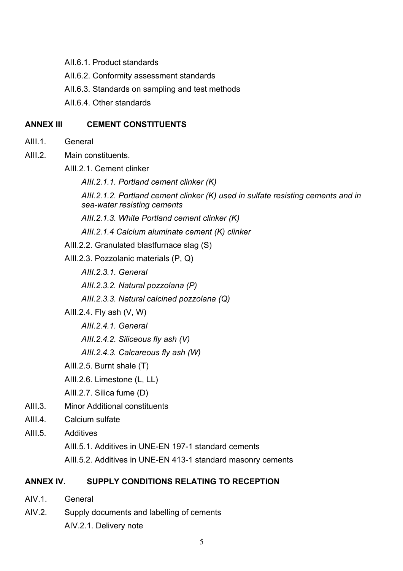- AII.6.1. Product standards
- AII.6.2. Conformity assessment standards
- AII.6.3. Standards on sampling and test methods
- AII.6.4. Other standards

## **ANNEX III CEMENT CONSTITUENTS**

- AIII.1 General
- AIII.2. Main constituents.
	- AIII.2.1. Cement clinker
		- *AIII.2.1.1. Portland cement clinker (K)*
		- *AIII.2.1.2. Portland cement clinker (K) used in sulfate resisting cements and in sea-water resisting cements*
		- *AIII.2.1.3. White Portland cement clinker (K)*
		- *AIII.2.1.4 Calcium aluminate cement (K) clinker*
	- AIII.2.2. Granulated blastfurnace slag (S)
	- AIII.2.3. Pozzolanic materials (P, Q)
		- *AIII.2.3.1. General*
		- *AIII.2.3.2. Natural pozzolana (P)*
		- *AIII.2.3.3. Natural calcined pozzolana (Q)*
	- AIII.2.4. Fly ash (V, W)
		- *AIII.2.4.1. General*
		- *AIII.2.4.2. Siliceous fly ash (V)*
		- *AIII.2.4.3. Calcareous fly ash (W)*
	- AIII.2.5. Burnt shale (T)
	- AIII.2.6. Limestone (L, LL)
	- AIII.2.7. Silica fume (D)
- AIII.3. Minor Additional constituents
- AIII.4. Calcium sulfate
- AIII.5. Additives
	- AIII.5.1. Additives in UNE-EN 197-1 standard cements
	- AIII.5.2. Additives in UNE-EN 413-1 standard masonry cements

# **ANNEX IV. SUPPLY CONDITIONS RELATING TO RECEPTION**

- AIV<sub>1</sub> General
- AIV.2. Supply documents and labelling of cements AIV.2.1. Delivery note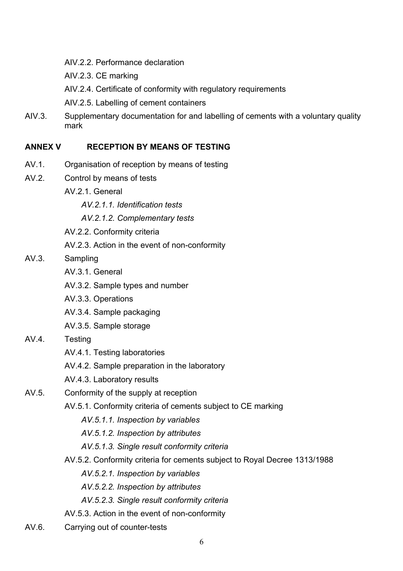- AIV.2.2. Performance declaration
- AIV.2.3. CE marking
- AIV.2.4. Certificate of conformity with regulatory requirements
- AIV.2.5. Labelling of cement containers
- AIV.3. Supplementary documentation for and labelling of cements with a voluntary quality mark

# **ANNEX V RECEPTION BY MEANS OF TESTING**

- AV.1. Organisation of reception by means of testing
- AV.2. Control by means of tests
	- AV 2.1. General
		- *AV.2.1.1. Identification tests*
		- *AV.2.1.2. Complementary tests*
	- AV.2.2. Conformity criteria
	- AV.2.3. Action in the event of non-conformity
- AV.3. Sampling
	- AV.3.1. General
	- AV.3.2. Sample types and number
	- AV.3.3. Operations
	- AV.3.4. Sample packaging
	- AV.3.5. Sample storage
- AV.4. Testing
	- AV.4.1. Testing laboratories
	- AV.4.2. Sample preparation in the laboratory
	- AV.4.3. Laboratory results
- AV.5. Conformity of the supply at reception
	- AV.5.1. Conformity criteria of cements subject to CE marking
		- *AV.5.1.1. Inspection by variables*
		- *AV.5.1.2. Inspection by attributes*
		- *AV.5.1.3. Single result conformity criteria*
	- AV.5.2. Conformity criteria for cements subject to Royal Decree 1313/1988
		- *AV.5.2.1. Inspection by variables*
		- *AV.5.2.2. Inspection by attributes*
		- *AV.5.2.3. Single result conformity criteria*
	- AV.5.3. Action in the event of non-conformity
- AV.6. Carrying out of counter-tests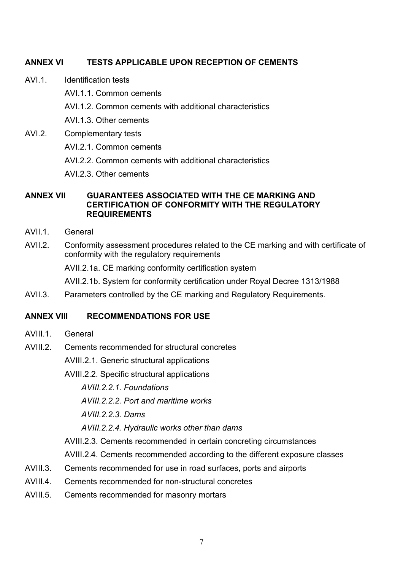# **ANNEX VI TESTS APPLICABLE UPON RECEPTION OF CEMENTS**

- AVI.1 Identification tests
	- AVI.1.1. Common cements
	- AVI.1.2. Common cements with additional characteristics
	- AVI.1.3. Other cements
- AVI.2. Complementary tests
	- AVI.2.1. Common cements
	- AVI.2.2. Common cements with additional characteristics
	- AVI.2.3. Other cements

## **ANNEX VII GUARANTEES ASSOCIATED WITH THE CE MARKING AND CERTIFICATION OF CONFORMITY WITH THE REGULATORY REQUIREMENTS**

- AVII.1 General
- AVII.2. Conformity assessment procedures related to the CE marking and with certificate of conformity with the regulatory requirements

AVII.2.1a. CE marking conformity certification system

AVII.2.1b. System for conformity certification under Royal Decree 1313/1988

AVII.3. Parameters controlled by the CE marking and Regulatory Requirements.

## **ANNEX VIII RECOMMENDATIONS FOR USE**

- AVIII.1 General
- AVIII.2. Cements recommended for structural concretes

AVIII.2.1. Generic structural applications

AVIII.2.2. Specific structural applications

*AVIII.2.2.1. Foundations* 

*AVIII.2.2.2. Port and maritime works* 

*AVIII.2.2.3. Dams* 

*AVIII.2.2.4. Hydraulic works other than dams* 

AVIII.2.3. Cements recommended in certain concreting circumstances

AVIII.2.4. Cements recommended according to the different exposure classes

- AVIII.3. Cements recommended for use in road surfaces, ports and airports
- AVIII.4. Cements recommended for non-structural concretes
- AVIII.5. Cements recommended for masonry mortars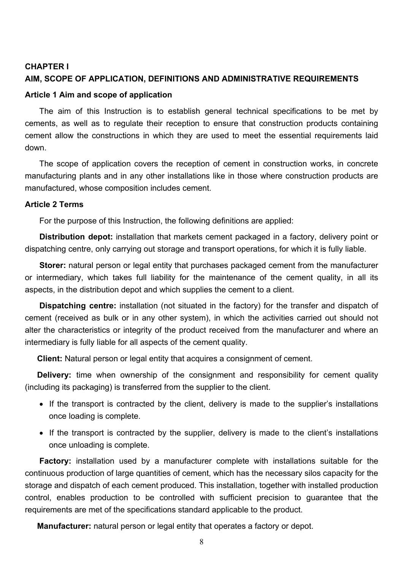#### **CHAPTER I**

#### **AIM, SCOPE OF APPLICATION, DEFINITIONS AND ADMINISTRATIVE REQUIREMENTS**

#### **Article 1 Aim and scope of application**

The aim of this Instruction is to establish general technical specifications to be met by cements, as well as to regulate their reception to ensure that construction products containing cement allow the constructions in which they are used to meet the essential requirements laid down.

The scope of application covers the reception of cement in construction works, in concrete manufacturing plants and in any other installations like in those where construction products are manufactured, whose composition includes cement.

#### **Article 2 Terms**

For the purpose of this Instruction, the following definitions are applied:

**Distribution depot:** installation that markets cement packaged in a factory, delivery point or dispatching centre, only carrying out storage and transport operations, for which it is fully liable.

**Storer:** natural person or legal entity that purchases packaged cement from the manufacturer or intermediary, which takes full liability for the maintenance of the cement quality, in all its aspects, in the distribution depot and which supplies the cement to a client.

**Dispatching centre:** installation (not situated in the factory) for the transfer and dispatch of cement (received as bulk or in any other system), in which the activities carried out should not alter the characteristics or integrity of the product received from the manufacturer and where an intermediary is fully liable for all aspects of the cement quality.

**Client:** Natural person or legal entity that acquires a consignment of cement.

**Delivery:** time when ownership of the consignment and responsibility for cement quality (including its packaging) is transferred from the supplier to the client.

- If the transport is contracted by the client, delivery is made to the supplier's installations once loading is complete.
- If the transport is contracted by the supplier, delivery is made to the client's installations once unloading is complete.

**Factory:** installation used by a manufacturer complete with installations suitable for the continuous production of large quantities of cement, which has the necessary silos capacity for the storage and dispatch of each cement produced. This installation, together with installed production control, enables production to be controlled with sufficient precision to guarantee that the requirements are met of the specifications standard applicable to the product.

**Manufacturer:** natural person or legal entity that operates a factory or depot.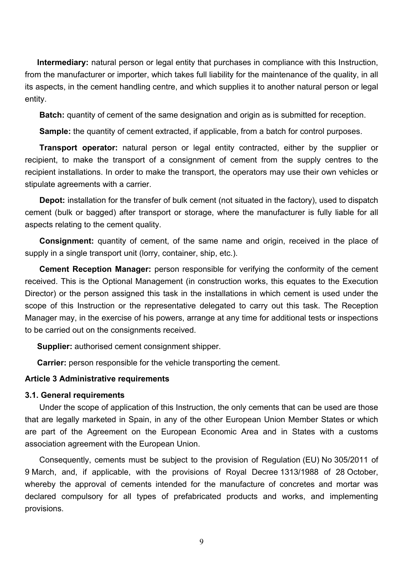**Intermediary:** natural person or legal entity that purchases in compliance with this Instruction, from the manufacturer or importer, which takes full liability for the maintenance of the quality, in all its aspects, in the cement handling centre, and which supplies it to another natural person or legal entity.

**Batch:** quantity of cement of the same designation and origin as is submitted for reception.

**Sample:** the quantity of cement extracted, if applicable, from a batch for control purposes.

**Transport operator:** natural person or legal entity contracted, either by the supplier or recipient, to make the transport of a consignment of cement from the supply centres to the recipient installations. In order to make the transport, the operators may use their own vehicles or stipulate agreements with a carrier.

**Depot:** installation for the transfer of bulk cement (not situated in the factory), used to dispatch cement (bulk or bagged) after transport or storage, where the manufacturer is fully liable for all aspects relating to the cement quality.

**Consignment:** quantity of cement, of the same name and origin, received in the place of supply in a single transport unit (lorry, container, ship, etc.).

**Cement Reception Manager:** person responsible for verifying the conformity of the cement received. This is the Optional Management (in construction works, this equates to the Execution Director) or the person assigned this task in the installations in which cement is used under the scope of this Instruction or the representative delegated to carry out this task. The Reception Manager may, in the exercise of his powers, arrange at any time for additional tests or inspections to be carried out on the consignments received.

**Supplier:** authorised cement consignment shipper.

**Carrier:** person responsible for the vehicle transporting the cement.

#### **Article 3 Administrative requirements**

#### **3.1. General requirements**

Under the scope of application of this Instruction, the only cements that can be used are those that are legally marketed in Spain, in any of the other European Union Member States or which are part of the Agreement on the European Economic Area and in States with a customs association agreement with the European Union.

Consequently, cements must be subject to the provision of Regulation (EU) No 305/2011 of 9 March, and, if applicable, with the provisions of Royal Decree 1313/1988 of 28 October, whereby the approval of cements intended for the manufacture of concretes and mortar was declared compulsory for all types of prefabricated products and works, and implementing provisions.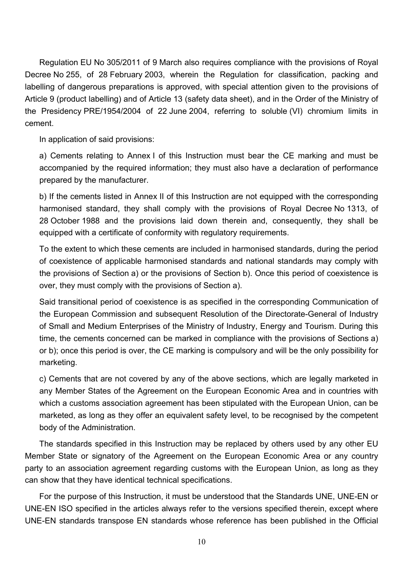Regulation EU No 305/2011 of 9 March also requires compliance with the provisions of Royal Decree No 255, of 28 February 2003, wherein the Regulation for classification, packing and labelling of dangerous preparations is approved, with special attention given to the provisions of Article 9 (product labelling) and of Article 13 (safety data sheet), and in the Order of the Ministry of the Presidency PRE/1954/2004 of 22 June 2004, referring to soluble (VI) chromium limits in cement.

In application of said provisions:

a) Cements relating to Annex I of this Instruction must bear the CE marking and must be accompanied by the required information; they must also have a declaration of performance prepared by the manufacturer.

b) If the cements listed in Annex II of this Instruction are not equipped with the corresponding harmonised standard, they shall comply with the provisions of Royal Decree No 1313, of 28 October 1988 and the provisions laid down therein and, consequently, they shall be equipped with a certificate of conformity with regulatory requirements.

To the extent to which these cements are included in harmonised standards, during the period of coexistence of applicable harmonised standards and national standards may comply with the provisions of Section a) or the provisions of Section b). Once this period of coexistence is over, they must comply with the provisions of Section a).

Said transitional period of coexistence is as specified in the corresponding Communication of the European Commission and subsequent Resolution of the Directorate-General of Industry of Small and Medium Enterprises of the Ministry of Industry, Energy and Tourism. During this time, the cements concerned can be marked in compliance with the provisions of Sections a) or b); once this period is over, the CE marking is compulsory and will be the only possibility for marketing.

c) Cements that are not covered by any of the above sections, which are legally marketed in any Member States of the Agreement on the European Economic Area and in countries with which a customs association agreement has been stipulated with the European Union, can be marketed, as long as they offer an equivalent safety level, to be recognised by the competent body of the Administration.

The standards specified in this Instruction may be replaced by others used by any other EU Member State or signatory of the Agreement on the European Economic Area or any country party to an association agreement regarding customs with the European Union, as long as they can show that they have identical technical specifications.

For the purpose of this Instruction, it must be understood that the Standards UNE, UNE-EN or UNE-EN ISO specified in the articles always refer to the versions specified therein, except where UNE-EN standards transpose EN standards whose reference has been published in the Official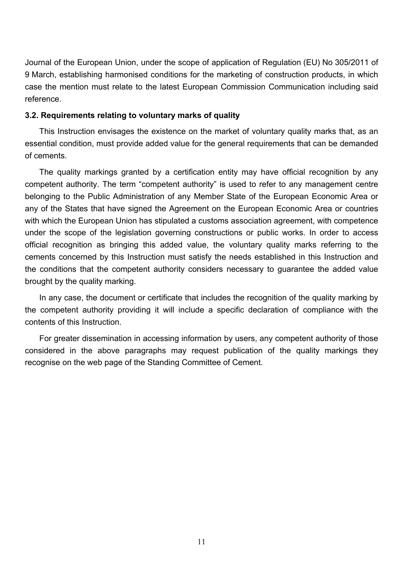Journal of the European Union, under the scope of application of Regulation (EU) No 305/2011 of 9 March, establishing harmonised conditions for the marketing of construction products, in which case the mention must relate to the latest European Commission Communication including said reference.

#### **3.2. Requirements relating to voluntary marks of quality**

This Instruction envisages the existence on the market of voluntary quality marks that, as an essential condition, must provide added value for the general requirements that can be demanded of cements.

The quality markings granted by a certification entity may have official recognition by any competent authority. The term "competent authority" is used to refer to any management centre belonging to the Public Administration of any Member State of the European Economic Area or any of the States that have signed the Agreement on the European Economic Area or countries with which the European Union has stipulated a customs association agreement, with competence under the scope of the legislation governing constructions or public works. In order to access official recognition as bringing this added value, the voluntary quality marks referring to the cements concerned by this Instruction must satisfy the needs established in this Instruction and the conditions that the competent authority considers necessary to guarantee the added value brought by the quality marking.

In any case, the document or certificate that includes the recognition of the quality marking by the competent authority providing it will include a specific declaration of compliance with the contents of this Instruction.

For greater dissemination in accessing information by users, any competent authority of those considered in the above paragraphs may request publication of the quality markings they recognise on the web page of the Standing Committee of Cement.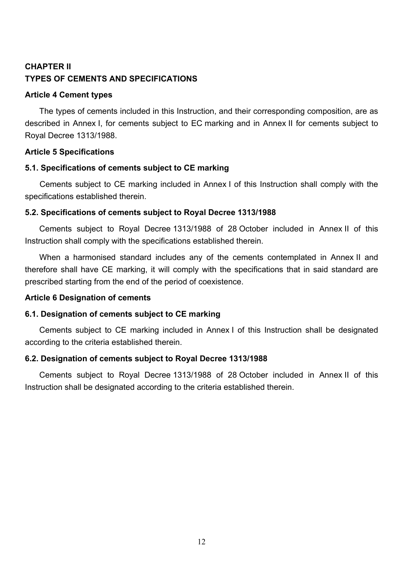# **CHAPTER II TYPES OF CEMENTS AND SPECIFICATIONS**

## **Article 4 Cement types**

The types of cements included in this Instruction, and their corresponding composition, are as described in Annex I, for cements subject to EC marking and in Annex II for cements subject to Royal Decree 1313/1988.

# **Article 5 Specifications**

# **5.1. Specifications of cements subject to CE marking**

Cements subject to CE marking included in Annex I of this Instruction shall comply with the specifications established therein.

## **5.2. Specifications of cements subject to Royal Decree 1313/1988**

Cements subject to Royal Decree 1313/1988 of 28 October included in Annex II of this Instruction shall comply with the specifications established therein.

When a harmonised standard includes any of the cements contemplated in Annex II and therefore shall have CE marking, it will comply with the specifications that in said standard are prescribed starting from the end of the period of coexistence.

# **Article 6 Designation of cements**

# **6.1. Designation of cements subject to CE marking**

Cements subject to CE marking included in Annex I of this Instruction shall be designated according to the criteria established therein.

# **6.2. Designation of cements subject to Royal Decree 1313/1988**

Cements subject to Royal Decree 1313/1988 of 28 October included in Annex II of this Instruction shall be designated according to the criteria established therein.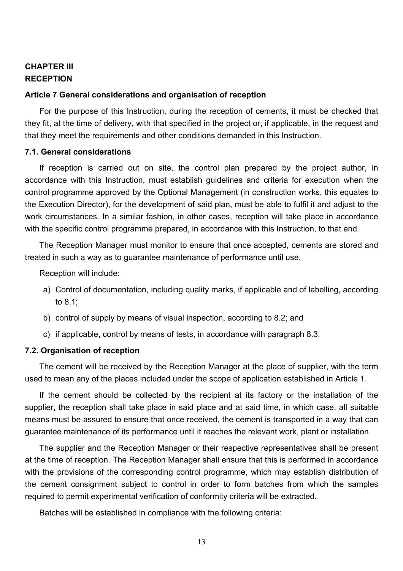# **CHAPTER III RECEPTION**

#### **Article 7 General considerations and organisation of reception**

For the purpose of this Instruction, during the reception of cements, it must be checked that they fit, at the time of delivery, with that specified in the project or, if applicable, in the request and that they meet the requirements and other conditions demanded in this Instruction.

#### **7.1. General considerations**

If reception is carried out on site, the control plan prepared by the project author, in accordance with this Instruction, must establish guidelines and criteria for execution when the control programme approved by the Optional Management (in construction works, this equates to the Execution Director), for the development of said plan, must be able to fulfil it and adjust to the work circumstances. In a similar fashion, in other cases, reception will take place in accordance with the specific control programme prepared, in accordance with this Instruction, to that end.

The Reception Manager must monitor to ensure that once accepted, cements are stored and treated in such a way as to guarantee maintenance of performance until use.

Reception will include:

- a) Control of documentation, including quality marks, if applicable and of labelling, according to 8.1;
- b) control of supply by means of visual inspection, according to 8.2; and
- c) if applicable, control by means of tests, in accordance with paragraph 8.3.

#### **7.2. Organisation of reception**

The cement will be received by the Reception Manager at the place of supplier, with the term used to mean any of the places included under the scope of application established in Article 1.

 If the cement should be collected by the recipient at its factory or the installation of the means must be assured to ensure that once received, the cement is transported in a way that can supplier, the reception shall take place in said place and at said time, in which case, all suitable guarantee maintenance of its performance until it reaches the relevant work, plant or installation.

 the cement consignment subject to control in order to form batches from which the samples The supplier and the Reception Manager or their respective representatives shall be present at the time of reception. The Reception Manager shall ensure that this is performed in accordance with the provisions of the corresponding control programme, which may establish distribution of required to permit experimental verification of conformity criteria will be extracted.

Batches will be established in compliance with the following criteria: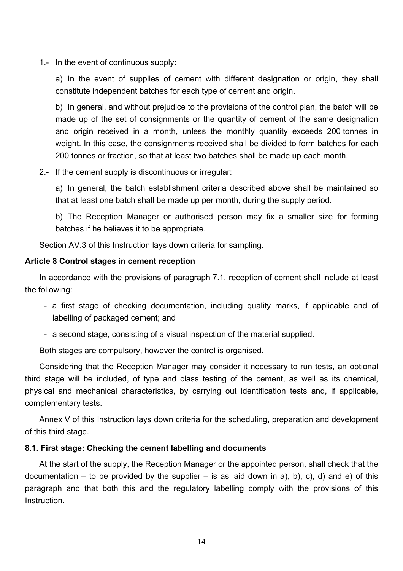1.- In the event of continuous supply:

a) In the event of supplies of cement with different designation or origin, they shall constitute independent batches for each type of cement and origin.

b) In general, and without prejudice to the provisions of the control plan, the batch will be made up of the set of consignments or the quantity of cement of the same designation and origin received in a month, unless the monthly quantity exceeds 200 tonnes in weight. In this case, the consignments received shall be divided to form batches for each 200 tonnes or fraction, so that at least two batches shall be made up each month.

2.- If the cement supply is discontinuous or irregular:

a) In general, the batch establishment criteria described above shall be maintained so that at least one batch shall be made up per month, during the supply period.

b) The Reception Manager or authorised person may fix a smaller size for forming batches if he believes it to be appropriate.

Section AV.3 of this Instruction lays down criteria for sampling.

## **Article 8 Control stages in cement reception**

In accordance with the provisions of paragraph 7.1, reception of cement shall include at least the following:

- a first stage of checking documentation, including quality marks, if applicable and of labelling of packaged cement; and
- a second stage, consisting of a visual inspection of the material supplied.

Both stages are compulsory, however the control is organised.

 third stage will be included, of type and class testing of the cement, as well as its chemical, Considering that the Reception Manager may consider it necessary to run tests, an optional physical and mechanical characteristics, by carrying out identification tests and, if applicable, complementary tests.

Annex V of this Instruction lays down criteria for the scheduling, preparation and development of this third stage.

# **8.1. First stage: Checking the cement labelling and documents**

 documentation – to be provided by the supplier – is as laid down in a), b), c), d) and e) of this At the start of the supply, the Reception Manager or the appointed person, shall check that the paragraph and that both this and the regulatory labelling comply with the provisions of this **Instruction**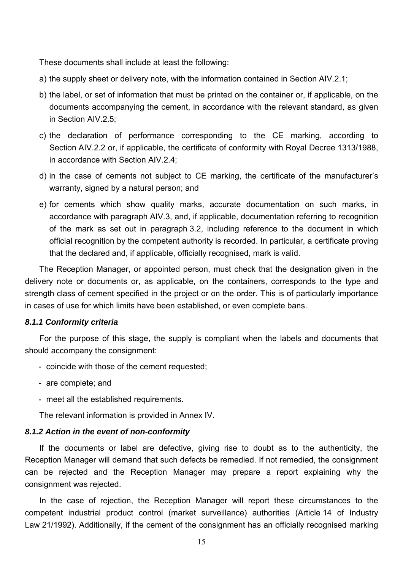These documents shall include at least the following:

- a) the supply sheet or delivery note, with the information contained in Section AIV.2.1;
- b) the label, or set of information that must be printed on the container or, if applicable, on the documents accompanying the cement, in accordance with the relevant standard, as given in Section AIV.2.5;
- c) the declaration of performance corresponding to the CE marking, according to Section AIV.2.2 or, if applicable, the certificate of conformity with Royal Decree 1313/1988, in accordance with Section AIV.2.4;
- d) in the case of cements not subject to CE marking, the certificate of the manufacturer's warranty, signed by a natural person; and
- e) for cements which show quality marks, accurate documentation on such marks, in accordance with paragraph AIV.3, and, if applicable, documentation referring to recognition of the mark as set out in paragraph 3.2, including reference to the document in which official recognition by the competent authority is recorded. In particular, a certificate proving that the declared and, if applicable, officially recognised, mark is valid.

The Reception Manager, or appointed person, must check that the designation given in the delivery note or documents or, as applicable, on the containers, corresponds to the type and strength class of cement specified in the project or on the order. This is of particularly importance in cases of use for which limits have been established, or even complete bans.

#### *8.1.1 Conformity criteria*

For the purpose of this stage, the supply is compliant when the labels and documents that should accompany the consignment:

- coincide with those of the cement requested;
- are complete; and
- meet all the established requirements.

The relevant information is provided in Annex IV.

#### *8.1.2 Action in the event of non-conformity*

If the documents or label are defective, giving rise to doubt as to the authenticity, the Reception Manager will demand that such defects be remedied. If not remedied, the consignment can be rejected and the Reception Manager may prepare a report explaining why the consignment was rejected.

In the case of rejection, the Reception Manager will report these circumstances to the competent industrial product control (market surveillance) authorities (Article 14 of Industry Law 21/1992). Additionally, if the cement of the consignment has an officially recognised marking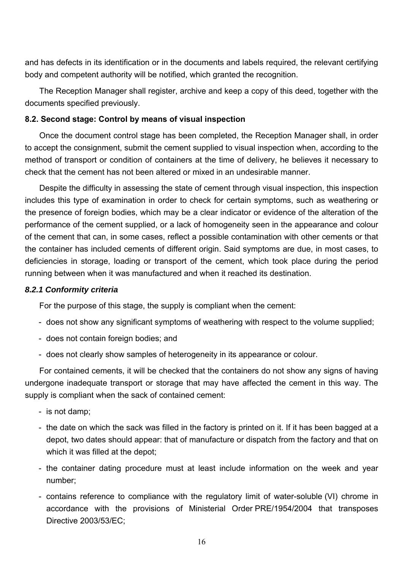and has defects in its identification or in the documents and labels required, the relevant certifying body and competent authority will be notified, which granted the recognition.

The Reception Manager shall register, archive and keep a copy of this deed, together with the documents specified previously.

## **8.2. Second stage: Control by means of visual inspection**

Once the document control stage has been completed, the Reception Manager shall, in order to accept the consignment, submit the cement supplied to visual inspection when, according to the method of transport or condition of containers at the time of delivery, he believes it necessary to check that the cement has not been altered or mixed in an undesirable manner.

 the container has included cements of different origin. Said symptoms are due, in most cases, to Despite the difficulty in assessing the state of cement through visual inspection, this inspection includes this type of examination in order to check for certain symptoms, such as weathering or the presence of foreign bodies, which may be a clear indicator or evidence of the alteration of the performance of the cement supplied, or a lack of homogeneity seen in the appearance and colour of the cement that can, in some cases, reflect a possible contamination with other cements or that deficiencies in storage, loading or transport of the cement, which took place during the period running between when it was manufactured and when it reached its destination.

## *8.2.1 Conformity criteria*

For the purpose of this stage, the supply is compliant when the cement:

- does not show any significant symptoms of weathering with respect to the volume supplied;
- does not contain foreign bodies; and
- does not clearly show samples of heterogeneity in its appearance or colour.

For contained cements, it will be checked that the containers do not show any signs of having undergone inadequate transport or storage that may have affected the cement in this way. The supply is compliant when the sack of contained cement:

- is not damp;
- the date on which the sack was filled in the factory is printed on it. If it has been bagged at a depot, two dates should appear: that of manufacture or dispatch from the factory and that on which it was filled at the depot;
- the container dating procedure must at least include information on the week and year number;
- contains reference to compliance with the regulatory limit of water-soluble (VI) chrome in accordance with the provisions of Ministerial Order PRE/1954/2004 that transposes Directive 2003/53/EC;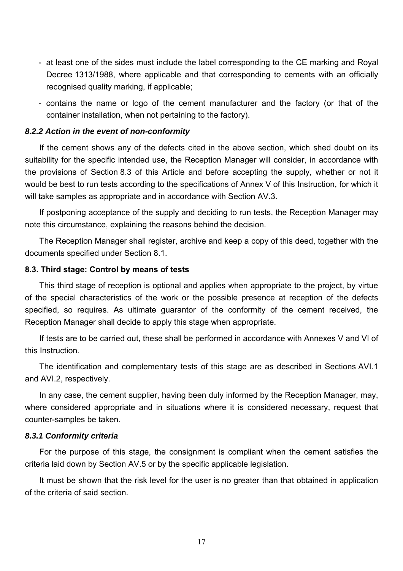- at least one of the sides must include the label corresponding to the CE marking and Royal Decree 1313/1988, where applicable and that corresponding to cements with an officially recognised quality marking, if applicable;
- contains the name or logo of the cement manufacturer and the factory (or that of the container installation, when not pertaining to the factory).

#### *8.2.2 Action in the event of non-conformity*

 would be best to run tests according to the specifications of Annex V of this Instruction, for which it If the cement shows any of the defects cited in the above section, which shed doubt on its suitability for the specific intended use, the Reception Manager will consider, in accordance with the provisions of Section 8.3 of this Article and before accepting the supply, whether or not it will take samples as appropriate and in accordance with Section AV.3.

If postponing acceptance of the supply and deciding to run tests, the Reception Manager may note this circumstance, explaining the reasons behind the decision.

The Reception Manager shall register, archive and keep a copy of this deed, together with the documents specified under Section 8.1.

#### **8.3. Third stage: Control by means of tests**

This third stage of reception is optional and applies when appropriate to the project, by virtue of the special characteristics of the work or the possible presence at reception of the defects specified, so requires. As ultimate guarantor of the conformity of the cement received, the Reception Manager shall decide to apply this stage when appropriate.

If tests are to be carried out, these shall be performed in accordance with Annexes V and VI of this Instruction.

The identification and complementary tests of this stage are as described in Sections AVI.1 and AVI.2, respectively.

In any case, the cement supplier, having been duly informed by the Reception Manager, may, where considered appropriate and in situations where it is considered necessary, request that counter-samples be taken.

#### *8.3.1 Conformity criteria*

For the purpose of this stage, the consignment is compliant when the cement satisfies the criteria laid down by Section AV.5 or by the specific applicable legislation.

It must be shown that the risk level for the user is no greater than that obtained in application of the criteria of said section.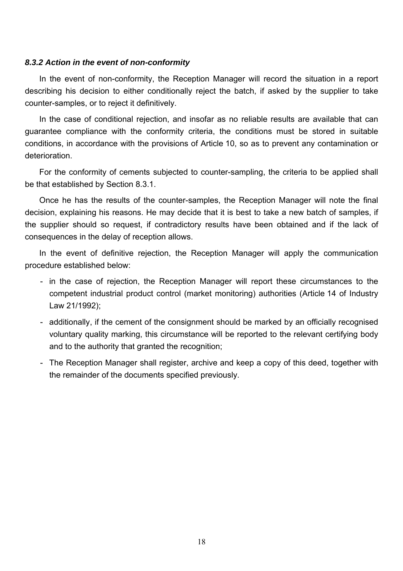#### *8.3.2 Action in the event of non-conformity*

In the event of non-conformity, the Reception Manager will record the situation in a report describing his decision to either conditionally reject the batch, if asked by the supplier to take counter-samples, or to reject it definitively.

 guarantee compliance with the conformity criteria, the conditions must be stored in suitable In the case of conditional rejection, and insofar as no reliable results are available that can conditions, in accordance with the provisions of Article 10, so as to prevent any contamination or deterioration.

For the conformity of cements subjected to counter-sampling, the criteria to be applied shall be that established by Section 8.3.1.

 decision, explaining his reasons. He may decide that it is best to take a new batch of samples, if Once he has the results of the counter-samples, the Reception Manager will note the final the supplier should so request, if contradictory results have been obtained and if the lack of consequences in the delay of reception allows.

In the event of definitive rejection, the Reception Manager will apply the communication procedure established below:

- in the case of rejection, the Reception Manager will report these circumstances to the competent industrial product control (market monitoring) authorities (Article 14 of Industry Law 21/1992);
- additionally, if the cement of the consignment should be marked by an officially recognised voluntary quality marking, this circumstance will be reported to the relevant certifying body and to the authority that granted the recognition;
- The Reception Manager shall register, archive and keep a copy of this deed, together with the remainder of the documents specified previously.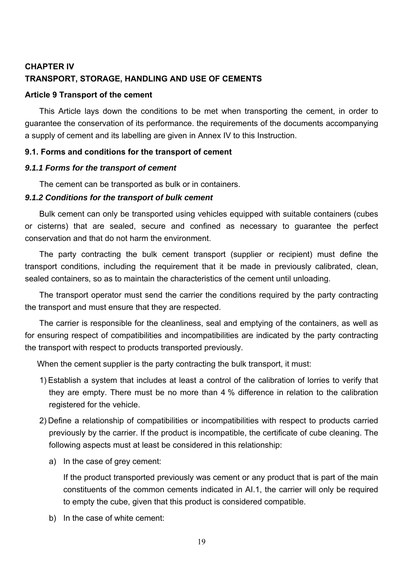# **CHAPTER IV TRANSPORT, STORAGE, HANDLING AND USE OF CEMENTS**

## **Article 9 Transport of the cement**

This Article lays down the conditions to be met when transporting the cement, in order to guarantee the conservation of its performance. the requirements of the documents accompanying a supply of cement and its labelling are given in Annex IV to this Instruction.

## **9.1. Forms and conditions for the transport of cement**

#### *9.1.1 Forms for the transport of cement*

The cement can be transported as bulk or in containers.

## *9.1.2 Conditions for the transport of bulk cement*

Bulk cement can only be transported using vehicles equipped with suitable containers (cubes or cisterns) that are sealed, secure and confined as necessary to guarantee the perfect conservation and that do not harm the environment.

The party contracting the bulk cement transport (supplier or recipient) must define the transport conditions, including the requirement that it be made in previously calibrated, clean, sealed containers, so as to maintain the characteristics of the cement until unloading.

The transport operator must send the carrier the conditions required by the party contracting the transport and must ensure that they are respected.

The carrier is responsible for the cleanliness, seal and emptying of the containers, as well as for ensuring respect of compatibilities and incompatibilities are indicated by the party contracting the transport with respect to products transported previously.

When the cement supplier is the party contracting the bulk transport, it must:

- 1) Establish a system that includes at least a control of the calibration of lorries to verify that they are empty. There must be no more than 4 % difference in relation to the calibration registered for the vehicle.
- 2) Define a relationship of compatibilities or incompatibilities with respect to products carried previously by the carrier. If the product is incompatible, the certificate of cube cleaning. The following aspects must at least be considered in this relationship:
	- a) In the case of grey cement:

If the product transported previously was cement or any product that is part of the main constituents of the common cements indicated in AI.1, the carrier will only be required to empty the cube, given that this product is considered compatible.

b) In the case of white cement: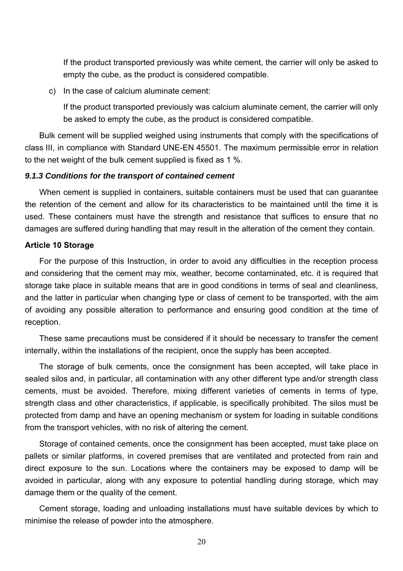If the product transported previously was white cement, the carrier will only be asked to empty the cube, as the product is considered compatible.

c) In the case of calcium aluminate cement:

If the product transported previously was calcium aluminate cement, the carrier will only be asked to empty the cube, as the product is considered compatible.

Bulk cement will be supplied weighed using instruments that comply with the specifications of class III, in compliance with Standard UNE-EN 45501. The maximum permissible error in relation to the net weight of the bulk cement supplied is fixed as 1 %.

#### *9.1.3 Conditions for the transport of contained cement*

When cement is supplied in containers, suitable containers must be used that can guarantee the retention of the cement and allow for its characteristics to be maintained until the time it is used. These containers must have the strength and resistance that suffices to ensure that no damages are suffered during handling that may result in the alteration of the cement they contain.

#### **Article 10 Storage**

For the purpose of this Instruction, in order to avoid any difficulties in the reception process and considering that the cement may mix, weather, become contaminated, etc. it is required that storage take place in suitable means that are in good conditions in terms of seal and cleanliness, and the latter in particular when changing type or class of cement to be transported, with the aim of avoiding any possible alteration to performance and ensuring good condition at the time of reception.

These same precautions must be considered if it should be necessary to transfer the cement internally, within the installations of the recipient, once the supply has been accepted.

The storage of bulk cements, once the consignment has been accepted, will take place in sealed silos and, in particular, all contamination with any other different type and/or strength class cements, must be avoided. Therefore, mixing different varieties of cements in terms of type, strength class and other characteristics, if applicable, is specifically prohibited. The silos must be protected from damp and have an opening mechanism or system for loading in suitable conditions from the transport vehicles, with no risk of altering the cement.

Storage of contained cements, once the consignment has been accepted, must take place on pallets or similar platforms, in covered premises that are ventilated and protected from rain and direct exposure to the sun. Locations where the containers may be exposed to damp will be avoided in particular, along with any exposure to potential handling during storage, which may damage them or the quality of the cement.

Cement storage, loading and unloading installations must have suitable devices by which to minimise the release of powder into the atmosphere.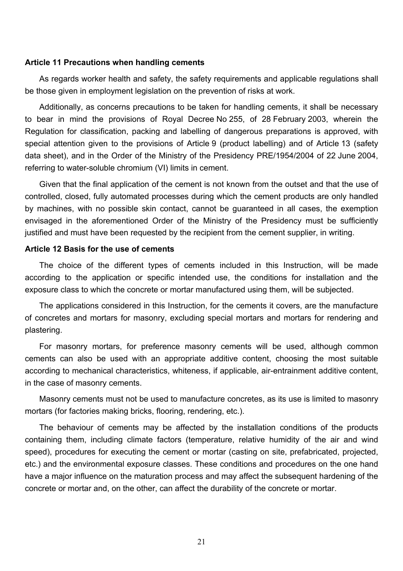#### **Article 11 Precautions when handling cements**

 As regards worker health and safety, the safety requirements and applicable regulations shall be those given in employment legislation on the prevention of risks at work.

Additionally, as concerns precautions to be taken for handling cements, it shall be necessary to bear in mind the provisions of Royal Decree No 255, of 28 February 2003, wherein the Regulation for classification, packing and labelling of dangerous preparations is approved, with special attention given to the provisions of Article 9 (product labelling) and of Article 13 (safety data sheet), and in the Order of the Ministry of the Presidency PRE/1954/2004 of 22 June 2004, referring to water-soluble chromium (VI) limits in cement.

Given that the final application of the cement is not known from the outset and that the use of controlled, closed, fully automated processes during which the cement products are only handled by machines, with no possible skin contact, cannot be guaranteed in all cases, the exemption envisaged in the aforementioned Order of the Ministry of the Presidency must be sufficiently justified and must have been requested by the recipient from the cement supplier, in writing.

## **Article 12 Basis for the use of cements**

The choice of the different types of cements included in this Instruction, will be made according to the application or specific intended use, the conditions for installation and the exposure class to which the concrete or mortar manufactured using them, will be subjected.

The applications considered in this Instruction, for the cements it covers, are the manufacture of concretes and mortars for masonry, excluding special mortars and mortars for rendering and plastering.

For masonry mortars, for preference masonry cements will be used, although common cements can also be used with an appropriate additive content, choosing the most suitable according to mechanical characteristics, whiteness, if applicable, air-entrainment additive content, in the case of masonry cements.

 Masonry cements must not be used to manufacture concretes, as its use is limited to masonry mortars (for factories making bricks, flooring, rendering, etc.).

The behaviour of cements may be affected by the installation conditions of the products containing them, including climate factors (temperature, relative humidity of the air and wind speed), procedures for executing the cement or mortar (casting on site, prefabricated, projected, etc.) and the environmental exposure classes. These conditions and procedures on the one hand have a major influence on the maturation process and may affect the subsequent hardening of the concrete or mortar and, on the other, can affect the durability of the concrete or mortar.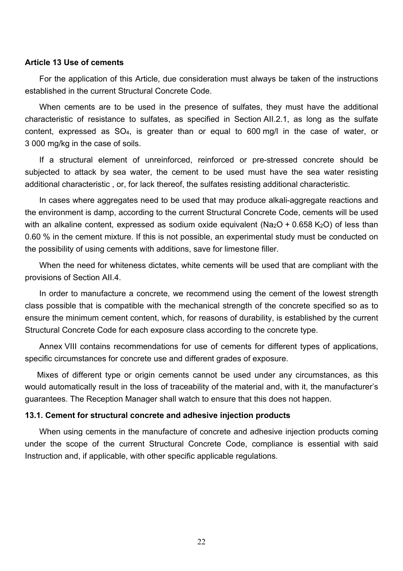#### **Article 13 Use of cements**

For the application of this Article, due consideration must always be taken of the instructions established in the current Structural Concrete Code.

When cements are to be used in the presence of sulfates, they must have the additional characteristic of resistance to sulfates, as specified in Section AII.2.1, as long as the sulfate content, expressed as SO4, is greater than or equal to 600 mg/l in the case of water, or 3 000 mg/kg in the case of soils.

If a structural element of unreinforced, reinforced or pre-stressed concrete should be subjected to attack by sea water, the cement to be used must have the sea water resisting additional characteristic , or, for lack thereof, the sulfates resisting additional characteristic.

In cases where aggregates need to be used that may produce alkali-aggregate reactions and the environment is damp, according to the current Structural Concrete Code, cements will be used with an alkaline content, expressed as sodium oxide equivalent ( $Na<sub>2</sub>O + 0.658 K<sub>2</sub>O$ ) of less than 0.60 % in the cement mixture. If this is not possible, an experimental study must be conducted on the possibility of using cements with additions, save for limestone filler.

When the need for whiteness dictates, white cements will be used that are compliant with the provisions of Section AII.4.

In order to manufacture a concrete, we recommend using the cement of the lowest strength class possible that is compatible with the mechanical strength of the concrete specified so as to ensure the minimum cement content, which, for reasons of durability, is established by the current Structural Concrete Code for each exposure class according to the concrete type.

Annex VIII contains recommendations for use of cements for different types of applications, specific circumstances for concrete use and different grades of exposure.

Mixes of different type or origin cements cannot be used under any circumstances, as this would automatically result in the loss of traceability of the material and, with it, the manufacturer's guarantees. The Reception Manager shall watch to ensure that this does not happen.

#### **13.1. Cement for structural concrete and adhesive injection products**

When using cements in the manufacture of concrete and adhesive injection products coming under the scope of the current Structural Concrete Code, compliance is essential with said Instruction and, if applicable, with other specific applicable regulations.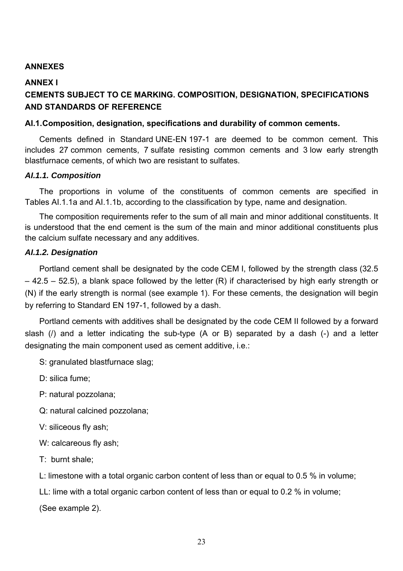## **ANNEXES**

#### **ANNEX I**

# **CEMENTS SUBJECT TO CE MARKING. COMPOSITION, DESIGNATION, SPECIFICATIONS AND STANDARDS OF REFERENCE**

#### **AI.1. Composition, designation, specifications and durability of common cements.**

Cements defined in Standard UNE-EN 197-1 are deemed to be common cement. This includes 27 common cements, 7 sulfate resisting common cements and 3 low early strength blastfurnace cements, of which two are resistant to sulfates.

#### *AI.1.1. Composition*

The proportions in volume of the constituents of common cements are specified in Tables AI.1.1a and AI.1.1b, according to the classification by type, name and designation.

The composition requirements refer to the sum of all main and minor additional constituents. It is understood that the end cement is the sum of the main and minor additional constituents plus the calcium sulfate necessary and any additives.

#### *AI.1.2. Designation*

Portland cement shall be designated by the code CEM I, followed by the strength class (32.5  $-$  42.5 – 52.5), a blank space followed by the letter (R) if characterised by high early strength or (N) if the early strength is normal (see example 1). For these cements, the designation will begin by referring to Standard EN 197-1, followed by a dash.

 slash (/) and a letter indicating the sub-type (A or B) separated by a dash (-) and a letter Portland cements with additives shall be designated by the code CEM II followed by a forward designating the main component used as cement additive, i.e.:

S: granulated blastfurnace slag;

D: silica fume;

P: natural pozzolana;

- Q: natural calcined pozzolana;
- V: siliceous fly ash;

W: calcareous fly ash;

T: burnt shale;

L: limestone with a total organic carbon content of less than or equal to 0.5 % in volume;

LL: lime with a total organic carbon content of less than or equal to 0.2 % in volume;

(See example 2).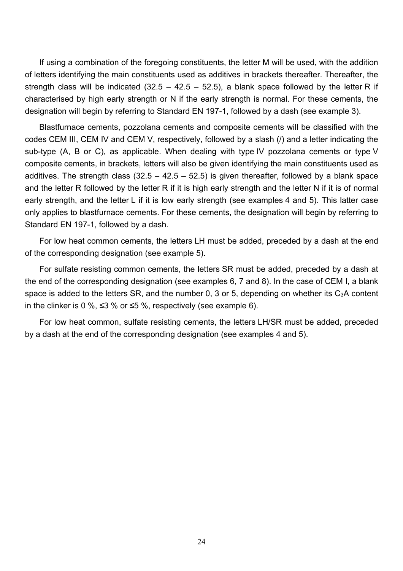If using a combination of the foregoing constituents, the letter M will be used, with the addition of letters identifying the main constituents used as additives in brackets thereafter. Thereafter, the strength class will be indicated (32.5 – 42.5 – 52.5), a blank space followed by the letter R if characterised by high early strength or N if the early strength is normal. For these cements, the designation will begin by referring to Standard EN 197-1, followed by a dash (see example 3).

Blastfurnace cements, pozzolana cements and composite cements will be classified with the codes CEM III, CEM IV and CEM V, respectively, followed by a slash (/) and a letter indicating the sub-type (A, B or C), as applicable. When dealing with type IV pozzolana cements or type V composite cements, in brackets, letters will also be given identifying the main constituents used as additives. The strength class (32.5 – 42.5 – 52.5) is given thereafter, followed by a blank space and the letter R followed by the letter R if it is high early strength and the letter N if it is of normal early strength, and the letter L if it is low early strength (see examples 4 and 5). This latter case only applies to blastfurnace cements. For these cements, the designation will begin by referring to Standard EN 197-1, followed by a dash.

For low heat common cements, the letters LH must be added, preceded by a dash at the end of the corresponding designation (see example 5).

 the end of the corresponding designation (see examples 6, 7 and 8). In the case of CEM I, a blank For sulfate resisting common cements, the letters SR must be added, preceded by a dash at space is added to the letters SR, and the number 0, 3 or 5, depending on whether its C3A content in the clinker is 0 %, ≤3 % or ≤5 %, respectively (see example 6).

For low heat common, sulfate resisting cements, the letters LH/SR must be added, preceded by a dash at the end of the corresponding designation (see examples 4 and 5).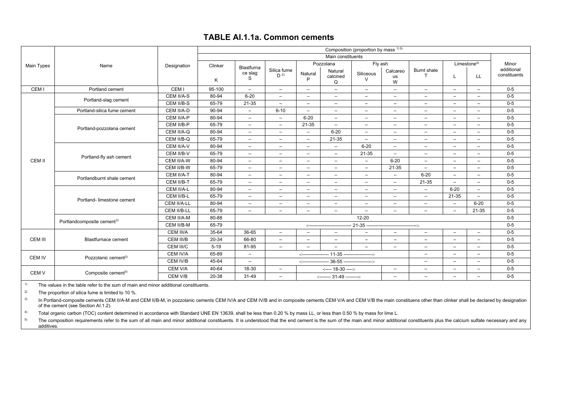#### **TABLE AI.1.1a. Common cements**

|                                                    |                                        |                  | Composition (proportion by mass 1) 5) |                            |                               |                          |                              |                                            |                          |                          |                          |                          |                            |  |
|----------------------------------------------------|----------------------------------------|------------------|---------------------------------------|----------------------------|-------------------------------|--------------------------|------------------------------|--------------------------------------------|--------------------------|--------------------------|--------------------------|--------------------------|----------------------------|--|
|                                                    |                                        |                  |                                       |                            |                               |                          | Main constituents            |                                            |                          |                          |                          |                          |                            |  |
| Main Types                                         | Name                                   | Designation      | Clinker                               |                            |                               | Fly ash<br>Pozzolana     |                              |                                            |                          |                          | Limestone $4$ )          | Minor                    |                            |  |
|                                                    |                                        |                  | K                                     | Blastfurna<br>ce slag<br>S | Silica fume<br>D <sup>2</sup> | Natural<br>P             | Natural<br>calcined<br>Q     | Siliceous<br>$\vee$                        | Calcareo<br>us<br>W      | <b>Burnt shale</b>       | L                        | LL.                      | additional<br>constituents |  |
| CEM I                                              | Portland cement                        | CEM <sub>I</sub> | 95-100                                | $\overline{\phantom{0}}$   | $\overline{\phantom{m}}$      | $\qquad \qquad -$        | -                            | $\overline{\phantom{m}}$                   | $\overline{\phantom{0}}$ | $\overline{\phantom{m}}$ | $\overline{\phantom{m}}$ | $\overline{\phantom{m}}$ | $0 - 5$                    |  |
|                                                    |                                        | CEM II/A-S       | 80-94                                 | $6 - 20$                   | $-$                           | $\overline{\phantom{m}}$ | $-$                          | $\overline{\phantom{m}}$                   | $\overline{\phantom{m}}$ | $\overline{\phantom{m}}$ | $\overline{\phantom{0}}$ | $\overline{\phantom{m}}$ | $0-5$                      |  |
|                                                    | Portland-slag cement                   | CEM II/B-S       | 65-79                                 | 21-35                      | $\overline{\phantom{a}}$      | $\overline{\phantom{m}}$ | $\overline{\phantom{0}}$     | $\overline{\phantom{m}}$                   | $-$                      | $\overline{\phantom{m}}$ | $\overline{\phantom{0}}$ | $\overline{\phantom{m}}$ | $0-5$                      |  |
|                                                    | Portland-silica fume cement            | CEM II/A-D       | 90-94                                 | $\overline{\phantom{a}}$   | $6 - 10$                      | $-$                      | $\overline{\phantom{0}}$     | $\overline{\phantom{m}}$                   | $\overline{\phantom{0}}$ | $\overline{\phantom{m}}$ | $\overline{\phantom{0}}$ | $\overline{\phantom{0}}$ | $0-5$                      |  |
|                                                    |                                        | CEM II/A-P       | 80-94                                 | $\overline{\phantom{0}}$   | $\overline{\phantom{0}}$      | $6 - 20$                 | -                            | $\overline{\phantom{0}}$                   |                          | $\overline{\phantom{0}}$ | $\overline{\phantom{0}}$ | $\overline{\phantom{0}}$ | $0-5$                      |  |
|                                                    |                                        | CEM II/B-P       | 65-79                                 | $\overline{\phantom{a}}$   | $-$                           | 21-35                    | $\overline{\phantom{0}}$     | $\overline{\phantom{a}}$                   | $-$                      | $\overline{\phantom{m}}$ | $\overline{\phantom{0}}$ | $\overline{\phantom{m}}$ | $0 - 5$                    |  |
|                                                    | Portland-pozzolana cement              | CEM II/A-Q       | 80-94                                 | $\overline{\phantom{m}}$   | $\qquad \qquad -$             | $\qquad \qquad -$        | $6 - 20$                     | $\overline{\phantom{m}}$                   | $\overline{\phantom{m}}$ | $\overline{\phantom{m}}$ | $\overline{\phantom{0}}$ | $\qquad \qquad -$        | $0-5$                      |  |
|                                                    |                                        | CEM II/B-Q       | 65-79                                 | $\overline{\phantom{a}}$   | $\overline{\phantom{0}}$      | $\overline{\phantom{m}}$ | 21-35                        | $\overline{\phantom{a}}$                   | $\overline{\phantom{0}}$ | $\overline{\phantom{m}}$ | $\overline{\phantom{0}}$ | $\overline{\phantom{0}}$ | $0 - 5$                    |  |
|                                                    | Portland-fly ash cement                | CEM II/A-V       | 80-94                                 | $\overline{\phantom{m}}$   | $\overline{\phantom{m}}$      | $\qquad \qquad -$        | -                            | $6 - 20$                                   | $\overline{\phantom{0}}$ | $\overline{\phantom{m}}$ | $\overline{\phantom{0}}$ | $\qquad \qquad -$        | $0 - 5$                    |  |
|                                                    |                                        | CEM II/B-V       | 65-79                                 | $\overline{\phantom{a}}$   | $\overline{\phantom{a}}$      | $\overline{\phantom{m}}$ | $-$                          | 21-35                                      | $\overline{\phantom{a}}$ | $\overline{\phantom{a}}$ | $\overline{\phantom{0}}$ | $\overline{\phantom{m}}$ | $0-5$                      |  |
| CEM II                                             |                                        | CEM II/A-W       | 80-94                                 | $\overline{\phantom{a}}$   | $\overline{\phantom{0}}$      | $\overline{\phantom{a}}$ | $\overline{\phantom{0}}$     | $\overline{\phantom{a}}$                   | $6 - 20$                 | $\overline{\phantom{a}}$ | $\overline{\phantom{a}}$ | $\overline{\phantom{m}}$ | $0 - 5$                    |  |
|                                                    |                                        | CEM II/B-W       | 65-79                                 | $\overline{\phantom{0}}$   | $\overline{\phantom{0}}$      | $\overline{\phantom{a}}$ | $\overline{\phantom{0}}$     | $\overline{\phantom{a}}$                   | 21-35                    | $\overline{\phantom{a}}$ | $\overline{\phantom{0}}$ | $\overline{\phantom{0}}$ | $0-5$                      |  |
|                                                    | Portlandburnt shale cement             | CEM II/A-T       | 80-94                                 | $\overline{\phantom{m}}$   | $\overline{\phantom{a}}$      | $\overline{\phantom{a}}$ | $-$                          | $\overline{\phantom{m}}$                   | $\overline{\phantom{m}}$ | $6 - 20$                 | $\overline{\phantom{m}}$ | $-$                      | $0 - 5$                    |  |
|                                                    |                                        | CEM II/B-T       | 65-79                                 | $\overline{\phantom{a}}$   | $\overline{\phantom{m}}$      | $\overline{\phantom{m}}$ | $\overline{\phantom{0}}$     | $\overline{\phantom{a}}$                   | $\overline{\phantom{0}}$ | 21-35                    | $\overline{\phantom{0}}$ | $\overline{\phantom{m}}$ | $0-5$                      |  |
|                                                    |                                        | CEM II/A-L       | 80-94                                 | $\overline{\phantom{a}}$   | $-$                           | $-$                      | $-$                          | $-$                                        | $-$                      | $\overline{\phantom{0}}$ | $6 - 20$                 | $\overline{\phantom{0}}$ | $0-5$                      |  |
|                                                    | Portland- limestone cement             | CEM II/B-L       | 65-79                                 | $\overline{\phantom{0}}$   | $\overline{\phantom{m}}$      | $\overline{\phantom{m}}$ | -                            | $\overline{\phantom{a}}$                   | $\overline{\phantom{0}}$ | $\overline{\phantom{m}}$ | 21-35                    | $\overline{\phantom{0}}$ | $0-5$                      |  |
|                                                    |                                        | CEM II/A-LL      | 80-94                                 | $\overline{\phantom{a}}$   | $\overline{\phantom{m}}$      | $\overline{\phantom{m}}$ | $\overline{\phantom{a}}$     | $\overline{\phantom{a}}$                   | $\overline{\phantom{a}}$ | $\overline{\phantom{m}}$ | $\overline{\phantom{a}}$ | $6 - 20$                 | $0-5$                      |  |
|                                                    |                                        | CEM II/B-LL      | 65-79                                 | $\overline{\phantom{a}}$   | $\overline{\phantom{m}}$      | $-$                      | $\overline{\phantom{m}}$     | $\overline{\phantom{a}}$                   | $\overline{\phantom{0}}$ | $\overline{\phantom{0}}$ | $\sim$                   | 21-35                    | $0 - 5$                    |  |
|                                                    | Portlandcomposite cement <sup>3)</sup> | CEM II/A-M       | 80-88                                 |                            |                               |                          |                              | $12 - 20$                                  |                          |                          |                          |                          | $0 - 5$                    |  |
|                                                    |                                        | CEM II/B-M       | 65-79                                 |                            |                               |                          | <--------------------------  | - 21-35 ---------------------------------> |                          |                          |                          |                          | $0 - 5$                    |  |
|                                                    |                                        | CEM III/A        | 35-64                                 | 36-65                      | $\overline{\phantom{0}}$      | $\overline{\phantom{a}}$ | $\overline{\phantom{0}}$     | $\overline{\phantom{0}}$                   | $\overline{\phantom{0}}$ | $\overline{\phantom{a}}$ | $\overline{\phantom{0}}$ | $\overline{\phantom{m}}$ | $0-5$                      |  |
| CEM III                                            | <b>Blastfurnace cement</b>             | CEM III/B        | 20-34                                 | 66-80                      | $-$                           | $-$                      | Ξ.                           | $\overline{\phantom{m}}$                   | $\overline{\phantom{0}}$ | $\overline{\phantom{m}}$ | $\overline{\phantom{a}}$ | $\overline{\phantom{0}}$ | $0-5$                      |  |
|                                                    |                                        | CEM III/C        | $5 - 19$                              | 81-95                      | $\overline{\phantom{m}}$      | $\overline{\phantom{a}}$ |                              |                                            | $\overline{\phantom{0}}$ | $\overline{\phantom{m}}$ | $\overline{\phantom{0}}$ | $\overline{\phantom{0}}$ | $0-5$                      |  |
| <b>CEM IV</b>                                      | Pozzolanic cement <sup>3)</sup>        | CEM IV/A         | 65-89                                 | $\overline{\phantom{a}}$   |                               |                          |                              |                                            |                          | $\overline{\phantom{m}}$ | $\overline{\phantom{0}}$ | $\overline{\phantom{m}}$ | $0 - 5$                    |  |
|                                                    |                                        | CEM IV/B         | 45-64                                 | $\overline{\phantom{a}}$   |                               |                          |                              |                                            |                          | $\overline{\phantom{m}}$ | $\overline{\phantom{0}}$ | $\overline{\phantom{m}}$ | $0 - 5$                    |  |
|                                                    |                                        | CEM V/A          | 40-64                                 | 18-30                      | $\overline{\phantom{a}}$      |                          | $\leftarrow$ --- 18-30 ----> |                                            | $\overline{\phantom{0}}$ | $\overline{\phantom{0}}$ | $\overline{\phantom{0}}$ | $\overline{\phantom{m}}$ | $0-5$                      |  |
| CEM <sub>V</sub><br>Composite cement <sup>3)</sup> |                                        | CEM V/B          | 20-38                                 | 31-49                      | $\overline{\phantom{0}}$      |                          | <------- 31-49 -------->     |                                            | $\overline{\phantom{0}}$ | $\overline{\phantom{0}}$ | $\overline{\phantom{0}}$ | $\overline{\phantom{m}}$ | $0 - 5$                    |  |

 $1<sup>1</sup>$  The values in the table refer to the sum of main and minor additional constituents.

<sup>2)</sup> The proportion of silica fume is limited to 10 %.

<sup>3)</sup> In Portland-composite cements CEM II/A-M and CEM II/B-M, in pozzolanic cements CEM IV/A and CEM IV/B and in composite cements CEM V/A and CEM V/B the main constituens other than clinker shall be declared by designatio of the cement (see Section AI.1.2).

<sup>4)</sup> Total organic carbon (TOC) content determined in accordance with Standard UNE EN 13639, shall be less than 0.20 % by mass LL, or less than 0.50 % by mass for lime L.

<sup>5)</sup> The composition requirements refer to the sum of all main and minor additional constituents. It is understood that the end cement is the sum of the main and minor additional constituents plus the calcium sulfate neces additives.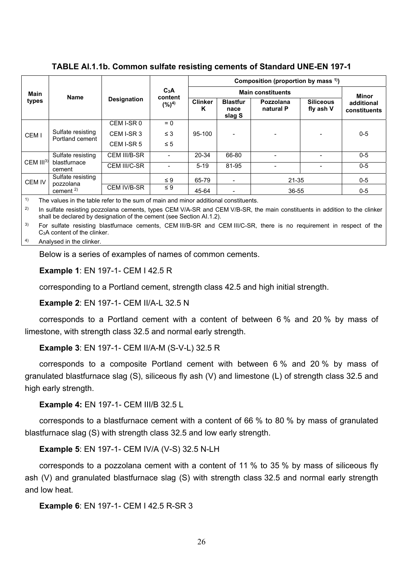**TABLE AI.1.1b. Common sulfate resisting cements of Standard UNE-EN 197-1** 

|                            |                        |                    | C <sub>3</sub> A            | Composition (proportion by mass $(1)$ ) |                                   |                        |                               |                            |  |  |  |
|----------------------------|------------------------|--------------------|-----------------------------|-----------------------------------------|-----------------------------------|------------------------|-------------------------------|----------------------------|--|--|--|
| <b>Main</b>                | <b>Name</b>            |                    |                             |                                         |                                   | Minor                  |                               |                            |  |  |  |
| types                      |                        | <b>Designation</b> | content<br>(%) <sup>4</sup> | <b>Clinker</b><br>ĸ                     | <b>Blastfur</b><br>nace<br>slag S | Pozzolana<br>natural P | <b>Siliceous</b><br>fly ash V | additional<br>constituents |  |  |  |
| Sulfate resisting<br>CEM I | CEM I-SR 0             | $= 0$              |                             |                                         |                                   |                        |                               |                            |  |  |  |
|                            | Portland cement        | CEM I-SR 3         | $\leq 3$                    | 95-100                                  | $\overline{\phantom{0}}$          |                        | -                             | $0 - 5$                    |  |  |  |
|                            |                        | CEM I-SR 5         | $\leq 5$                    |                                         |                                   |                        |                               |                            |  |  |  |
|                            | Sulfate resisting      | CEM III/B-SR       | $\overline{\phantom{0}}$    | 20-34                                   | 66-80                             |                        |                               | $0 - 5$                    |  |  |  |
| $CEM$ $III3$               | blastfurnace<br>cement | CEM III/C-SR       | $\overline{\phantom{0}}$    | $5 - 19$                                | 81-95                             |                        |                               | $0 - 5$                    |  |  |  |
| <b>CEM IV</b>              | Sulfate resisting      | $\leq 9$<br>65-79  |                             | $\overline{\phantom{a}}$                | $21 - 35$                         |                        |                               |                            |  |  |  |
| pozzolana<br>cement $2$ )  |                        | CEM IV/B-SR        | $\leq 9$                    | 45-64                                   |                                   | 36-55                  |                               | $0 - 5$                    |  |  |  |

 $1)$  The values in the table refer to the sum of main and minor additional constituents.

<sup>2)</sup> In sulfate resisting pozzolana cements, types CEM V/A-SR and CEM V/B-SR, the main constituents in addition to the clinker shall be declared by designation of the cement (see Section AI.1.2).

<sup>3)</sup> For sulfate resisting blastfurnace cements, CEM III/B-SR and CEM III/C-SR, there is no requirement in respect of the C3A content of the clinker.

4) Analysed in the clinker.

Below is a series of examples of names of common cements.

**Example 1**: EN 197-1- CEM I 42.5 R

corresponding to a Portland cement, strength class 42.5 and high initial strength.

**Example 2**: EN 197-1- CEM II/A-L 32.5 N

corresponds to a Portland cement with a content of between 6 % and 20 % by mass of limestone, with strength class 32.5 and normal early strength.

**Example 3**: EN 197-1- CEM II/A-M (S-V-L) 32.5 R

corresponds to a composite Portland cement with between 6 % and 20 % by mass of granulated blastfurnace slag (S), siliceous fly ash (V) and limestone (L) of strength class 32.5 and high early strength.

**Example 4:** EN 197-1- CEM III/B 32.5 L

corresponds to a blastfurnace cement with a content of 66 % to 80 % by mass of granulated blastfurnace slag (S) with strength class 32.5 and low early strength.

**Example 5**: EN 197-1- CEM IV/A (V-S) 32.5 N-LH

corresponds to a pozzolana cement with a content of 11 % to 35 % by mass of siliceous fly ash (V) and granulated blastfurnace slag (S) with strength class 32.5 and normal early strength and low heat.

**Example 6**: EN 197-1- CEM I 42.5 R-SR 3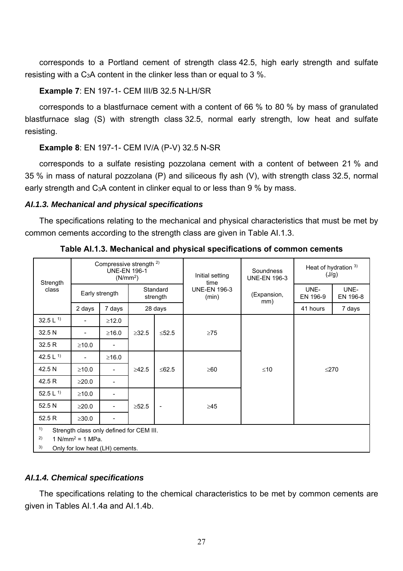corresponds to a Portland cement of strength class 42.5, high early strength and sulfate resisting with a C3A content in the clinker less than or equal to 3 %.

# **Example 7**: EN 197-1- CEM III/B 32.5 N-LH/SR

corresponds to a blastfurnace cement with a content of 66 % to 80 % by mass of granulated blastfurnace slag (S) with strength class 32.5, normal early strength, low heat and sulfate resisting.

## **Example 8**: EN 197-1- CEM IV/A (P-V) 32.5 N-SR

corresponds to a sulfate resisting pozzolana cement with a content of between 21 % and 35 % in mass of natural pozzolana (P) and siliceous fly ash (V), with strength class 32.5, normal early strength and C3A content in clinker equal to or less than 9 % by mass.

## *AI.1.3. Mechanical and physical specifications*

The specifications relating to the mechanical and physical characteristics that must be met by common cements according to the strength class are given in Table AI.1.3.

| Strength                           |                | Compressive strength <sup>2)</sup><br><b>UNE-EN 196-1</b><br>(N/mm <sup>2</sup> ) |                      |                          | Initial setting<br>time      | Soundness<br><b>UNE-EN 196-3</b> | Heat of hydration 3)<br>(J/g) |                  |  |
|------------------------------------|----------------|-----------------------------------------------------------------------------------|----------------------|--------------------------|------------------------------|----------------------------------|-------------------------------|------------------|--|
| class                              | Early strength |                                                                                   | Standard<br>strength |                          | <b>UNE-EN 196-3</b><br>(min) | (Expansion,<br>mm)               | UNE-<br>EN 196-9              | UNE-<br>EN 196-8 |  |
|                                    | 2 days         | 7 days                                                                            |                      | 28 days                  |                              |                                  | 41 hours                      | 7 days           |  |
| 32.5 $L$ <sup>1)</sup>             |                | ≥12.0                                                                             |                      |                          |                              |                                  |                               |                  |  |
| 32.5 N                             |                | ≥16.0                                                                             | $\geq$ 32.5          | $≤52.5$                  | $\geq$ 75                    |                                  |                               |                  |  |
| 32.5 R                             | $\geq 10.0$    |                                                                                   |                      |                          |                              |                                  |                               |                  |  |
| 42.5 $L$ <sup>1)</sup>             |                | $\geq$ 16.0                                                                       |                      |                          |                              |                                  |                               |                  |  |
| 42.5 N                             | $\geq 10.0$    |                                                                                   | $\geq 42.5$          | $≤62.5$                  | $\geq 60$                    | $≤10$                            | $\leq$ 270                    |                  |  |
| 42.5 R                             | >20.0          |                                                                                   |                      |                          |                              |                                  |                               |                  |  |
| 52.5 L $^{1)}$                     | $\geq 10.0$    |                                                                                   |                      |                          |                              |                                  |                               |                  |  |
| 52.5 N                             | $\geq$ 20.0    |                                                                                   | $\geq 52.5$          | $\overline{\phantom{a}}$ | $\geq 45$                    |                                  |                               |                  |  |
| 52.5 R                             | $\geq$ 30.0    |                                                                                   |                      |                          |                              |                                  |                               |                  |  |
| 1)                                 |                | Strength class only defined for CEM III.                                          |                      |                          |                              |                                  |                               |                  |  |
| 2)<br>1 N/mm <sup>2</sup> = 1 MPa. |                |                                                                                   |                      |                          |                              |                                  |                               |                  |  |
| 3)                                 |                | Only for low heat (LH) cements.                                                   |                      |                          |                              |                                  |                               |                  |  |

**Table AI.1.3. Mechanical and physical specifications of common cements** 

## *AI.1.4. Chemical specifications*

The specifications relating to the chemical characteristics to be met by common cements are given in Tables AI.1.4a and AI.1.4b.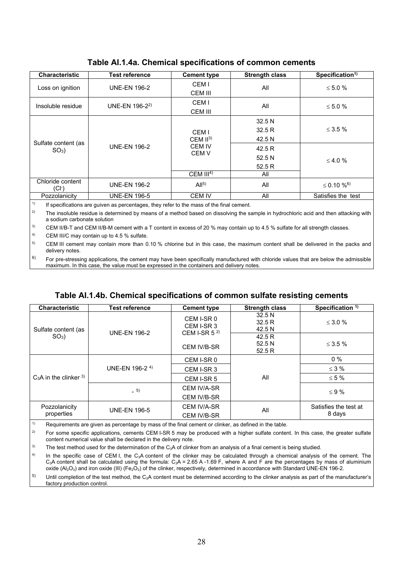| <b>Characteristic</b>     | <b>Test reference</b> | <b>Cement type</b> | <b>Strength class</b> | Specification <sup>1)</sup>  |  |
|---------------------------|-----------------------|--------------------|-----------------------|------------------------------|--|
| Loss on ignition          | <b>UNE-EN 196-2</b>   | CEM I<br>CEM III   | All                   | $\leq 5.0 \%$                |  |
| Insoluble residue         | UNE-EN $196-2^2$      | CEM I<br>CEM III   | All                   | $\leq 5.0 \%$                |  |
|                           |                       |                    | 32.5 N                |                              |  |
|                           |                       | CEM I              | 32.5R                 | $\leq$ 3.5 %                 |  |
| Sulfate content (as       | <b>UNE-EN 196-2</b>   | CEM $II3$          | 42.5 N                |                              |  |
| $SO3$ )                   |                       | <b>CEM IV</b>      | 42.5R                 |                              |  |
|                           |                       | <b>CEM V</b>       | 52.5 N                | $\leq 4.0 \%$                |  |
|                           |                       |                    | 52.5R                 |                              |  |
|                           |                       | CEM $III4$         | All                   |                              |  |
| Chloride content<br>(Cl-) | <b>UNE-EN 196-2</b>   | Al <sup>5</sup>    | All                   | $\leq 0.10 \%$ <sup>6)</sup> |  |
| Pozzolanicity             | <b>UNE-EN 196-5</b>   | <b>CEM IV</b>      | All                   | Satisfies the test           |  |

## **Table AI.1.4a. Chemical specifications of common cements**

 $1)$  If specifications are quiven as percentages, they refer to the mass of the final cement.

<sup>2)</sup> The insoluble residue is determined by means of a method based on dissolving the sample in hydrochloric acid and then attacking with a sodium carbonate solution

<sup>3)</sup> CEM II/B-T and CEM II/B-M cement with a T content in excess of 20 % may contain up to 4.5 % sulfate for all strength classes.

 $4)$  CEM III/C may contain up to 4.5 % sulfate.

 delivery notes.  $5$  CEM III cement may contain more than 0.10 % chlorine but in this case, the maximum content shall be delivered in the packs and

 $6$  For pre-stressing applications, the cement may have been specifically manufactured with chloride values that are below the admissible maximum. In this case, the value must be expressed in the containers and delivery notes.

# **Table AI.1.4b. Chemical specifications of common sulfate resisting cements**

| <b>Characteristic</b>       | <b>Test reference</b>      | <b>Cement type</b>                           | <b>Strength class</b>    | Specification <sup>1)</sup>     |
|-----------------------------|----------------------------|----------------------------------------------|--------------------------|---------------------------------|
| Sulfate content (as         | <b>UNE-EN 196-2</b>        | CEM I-SR 0<br>CEM I-SR 3<br>CEM I-SR $5^{2}$ | 32.5N<br>32.5R<br>42.5 N | $\leq$ 3.0 %                    |
| $SO3$ )                     |                            | <b>CEM IV/B-SR</b>                           | 42.5R<br>52.5N<br>52.5R  | $\leq$ 3.5 %                    |
|                             |                            | CEM I-SR 0                                   |                          | $0\%$                           |
|                             | UNE-EN 196-2 <sup>4)</sup> | CEM I-SR 3                                   |                          | $\leq$ 3 %                      |
| $C_3A$ in the clinker $3$ ) |                            | CEM I-SR 5                                   | All                      | $\leq 5\%$                      |
|                             | $-5)$                      | <b>CEM IV/A-SR</b>                           |                          | $\leq$ 9 %                      |
|                             |                            | <b>CEM IV/B-SR</b>                           |                          |                                 |
| Pozzolanicity<br>properties | <b>UNE-EN 196-5</b>        | <b>CEM IV/A-SR</b><br>CEM IV/B-SR            | All                      | Satisfies the test at<br>8 days |

 $1$  Requirements are given as percentage by mass of the final cement or clinker, as defined in the table.

<sup>2)</sup> For some specific applications, cements CEM I-SR 5 may be produced with a higher sulfate content. In this case, the greater sulfate content numerical value shall be declared in the delivery note.

<sup>3)</sup> The test method used for the determination of the  $C_3A$  of clinker from an analysis of a final cement is being studied.

 $4)$ In the specific case of CEM I, the C<sub>3</sub>A content of the clinker may be calculated through a chemical analysis of the cement. The  $C_3$ A content shall be calculated using the formula:  $C_3$ A = 2.65 A -1.69 F, where A and F are the percentages by mass of aluminium oxide  $(A_2O_3)$  and iron oxide (III) (Fe<sub>2</sub>O<sub>3</sub>) of the clinker, respectively, determined in accordance with Standard UNE-EN 196-2.

 $5$  Until completion of the test method, the C<sub>3</sub>A content must be determined according to the clinker analysis as part of the manufacturer's factory production control.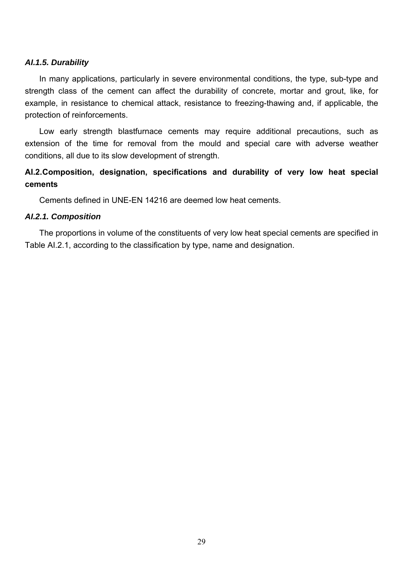## *AI.1.5. Durability*

In many applications, particularly in severe environmental conditions, the type, sub-type and strength class of the cement can affect the durability of concrete, mortar and grout, like, for example, in resistance to chemical attack, resistance to freezing-thawing and, if applicable, the protection of reinforcements.

Low early strength blastfurnace cements may require additional precautions, such as extension of the time for removal from the mould and special care with adverse weather conditions, all due to its slow development of strength.

# **AI.2. Composition, designation, specifications and durability of very low heat special cements**

Cements defined in UNE-EN 14216 are deemed low heat cements.

#### *AI.2.1. Composition*

The proportions in volume of the constituents of very low heat special cements are specified in Table AI.2.1, according to the classification by type, name and designation.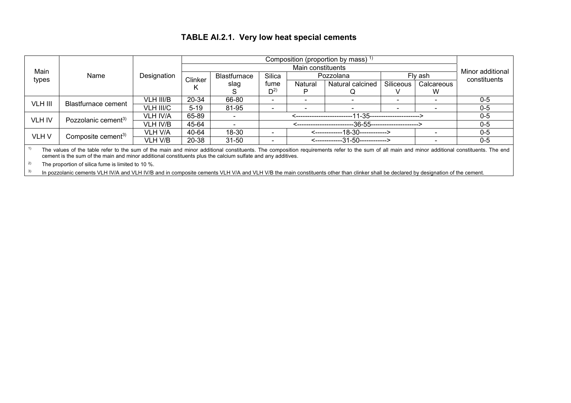# **TABLE AI.2.1. Very low heat special cements**

| Main                                                                                                                                                                                                                                                                                                                               |                                 |                 |          | Main constituents   |          |         |                                 |                                 |            |                                  |  |  |
|------------------------------------------------------------------------------------------------------------------------------------------------------------------------------------------------------------------------------------------------------------------------------------------------------------------------------------|---------------------------------|-----------------|----------|---------------------|----------|---------|---------------------------------|---------------------------------|------------|----------------------------------|--|--|
| types                                                                                                                                                                                                                                                                                                                              | Name                            | Designation     | Clinker  | <b>Blastfurnace</b> | Silica   |         | Pozzolana                       |                                 | Flv ash    | Minor additional<br>constituents |  |  |
|                                                                                                                                                                                                                                                                                                                                    |                                 |                 | Κ        | slag                | fume     | Natural | Natural calcined                | Siliceous                       | Calcareous |                                  |  |  |
|                                                                                                                                                                                                                                                                                                                                    |                                 |                 |          |                     | $D^{2)}$ |         |                                 |                                 | W          |                                  |  |  |
| VLH III                                                                                                                                                                                                                                                                                                                            | Blastfurnace cement             | VLH III/B       | 20-34    | 66-80               |          |         |                                 | $\overline{\phantom{0}}$        |            | $0 - 5$                          |  |  |
|                                                                                                                                                                                                                                                                                                                                    |                                 | VLH III/C       | $5 - 19$ | 81-95               |          |         |                                 |                                 |            | $0-5$                            |  |  |
| <b>VLH IV</b>                                                                                                                                                                                                                                                                                                                      | Pozzolanic cement <sup>3)</sup> | <b>VLH IV/A</b> | 65-89    |                     |          |         |                                 | --11-35-----------------------> |            | $0 - 5$                          |  |  |
|                                                                                                                                                                                                                                                                                                                                    |                                 | VLH IV/B        | 45-64    |                     |          |         |                                 | --36-55--------------------->   |            | $0-5$                            |  |  |
| VLH V                                                                                                                                                                                                                                                                                                                              |                                 | <b>VLH V/A</b>  | 40-64    | 18-30               |          |         | <------------18-30------------> |                                 |            | $0 - 5$                          |  |  |
|                                                                                                                                                                                                                                                                                                                                    | Composite cement <sup>3)</sup>  | VLH V/B         | 20-38    | $31 - 50$           |          |         | <------------31-50------------> |                                 |            | $0-5$                            |  |  |
| $\overline{a}$ and $\overline{a}$ and $\overline{a}$ and $\overline{a}$ and $\overline{a}$ and $\overline{a}$ and $\overline{a}$ and $\overline{a}$ and $\overline{a}$ and $\overline{a}$ and $\overline{a}$ and $\overline{a}$ and $\overline{a}$ and $\overline{a}$ and $\overline{a}$ and $\overline{a}$ and $\overline{a}$ and |                                 |                 |          |                     |          |         |                                 |                                 |            |                                  |  |  |

<sup>1)</sup> The values of the table refer to the sum of the main and minor additional constituents. The composition requirements refer to the sum of all main and minor additional constituents. The end cement is the sum of the main and minor additional constituents plus the calcium sulfate and any additives.

<sup>2)</sup> The proportion of silica fume is limited to 10 %.

<sup>3)</sup> In pozzolanic cements VLH IV/A and VLH IV/B and in composite cements VLH V/A and VLH V/B the main constituents other than clinker shall be declared by designation of the cement.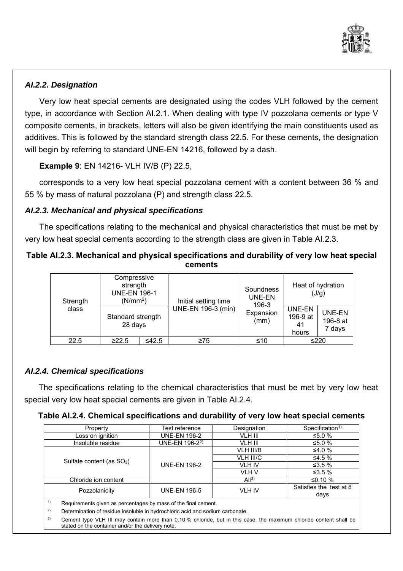

# *AI.2.2. Designation*

 type, in accordance with Section AI.2.1. When dealing with type IV pozzolana cements or type V Very low heat special cements are designated using the codes VLH followed by the cement composite cements, in brackets, letters will also be given identifying the main constituents used as additives. This is followed by the standard strength class 22.5. For these cements, the designation will begin by referring to standard UNE-EN 14216, followed by a dash.

**Example 9**: EN 14216- VLH IV/B (P) 22.5,

corresponds to a very low heat special pozzolana cement with a content between 36 % and 55 % by mass of natural pozzolana (P) and strength class 22.5.

# *AI.2.3. Mechanical and physical specifications*

The specifications relating to the mechanical and physical characteristics that must be met by very low heat special cements according to the strength class are given in Table AI.2.3.

# **Table AI.2.3. Mechanical and physical specifications and durability of very low heat special cements**

| Strength<br>class | Compressive<br>strength<br><b>UNE-EN 196-1</b><br>(N/mm <sup>2</sup> ) |             | Initial setting time | Soundness<br>UNE-EN<br>196-3 | Heat of hydration<br>(J/g)        |                                     |  |
|-------------------|------------------------------------------------------------------------|-------------|----------------------|------------------------------|-----------------------------------|-------------------------------------|--|
|                   | Standard strength<br>28 days                                           |             | UNE-EN 196-3 (min)   | Expansion<br>(mm)            | UNE-EN<br>196-9 at<br>41<br>hours | <b>UNE-EN</b><br>196-8 at<br>7 days |  |
| 22.5              | ≥22.5                                                                  | $\leq 42.5$ | $\geq 75$            | ≤10                          |                                   | ≤220                                |  |
|                   |                                                                        |             |                      |                              |                                   |                                     |  |

# *AI.2.4. Chemical specifications*

The specifications relating to the chemical characteristics that must be met by very low heat special very low heat special cements are given in Table AI.2.4.

|  |  |  |  |  |  | Table Al.2.4. Chemical specifications and durability of very low heat special cements |
|--|--|--|--|--|--|---------------------------------------------------------------------------------------|
|--|--|--|--|--|--|---------------------------------------------------------------------------------------|

| Property                              | Test reference                                                                                                     | Designation   | Specification <sup>1)</sup> |  |  |  |  |  |  |
|---------------------------------------|--------------------------------------------------------------------------------------------------------------------|---------------|-----------------------------|--|--|--|--|--|--|
| Loss on ignition                      | <b>UNE-EN 196-2</b>                                                                                                | VLH III       | ≤5.0 %                      |  |  |  |  |  |  |
| Insoluble residue                     | UNE-EN 196-2 <sup>2)</sup>                                                                                         | VLH III       | ≤5.0 %                      |  |  |  |  |  |  |
|                                       |                                                                                                                    | VLH III/B     | ≤4.0 $%$                    |  |  |  |  |  |  |
|                                       |                                                                                                                    | VLH III/C     | ≤4.5 $%$                    |  |  |  |  |  |  |
| Sulfate content (as SO <sub>3</sub> ) | <b>UNE-EN 196-2</b>                                                                                                | <b>VLH IV</b> | ≤3.5 $%$                    |  |  |  |  |  |  |
|                                       |                                                                                                                    | VLH V         | ≤3.5 $%$                    |  |  |  |  |  |  |
| Chloride ion content                  |                                                                                                                    | $Al^{3}$      | ≤0.10 $%$                   |  |  |  |  |  |  |
| Pozzolanicity                         | <b>UNE-EN 196-5</b>                                                                                                | <b>VLH IV</b> | Satisfies the test at 8     |  |  |  |  |  |  |
|                                       |                                                                                                                    |               | days                        |  |  |  |  |  |  |
| 1)                                    | Requirements given as percentages by mass of the final cement.                                                     |               |                             |  |  |  |  |  |  |
| 2)                                    | Determination of residue insoluble in hydrochloric acid and sodium carbonate.                                      |               |                             |  |  |  |  |  |  |
| 3)                                    | Cement type VLH III may contain more than 0.10 % chloride, but in this case, the maximum chloride content shall be |               |                             |  |  |  |  |  |  |

stated on the container and/or the delivery note.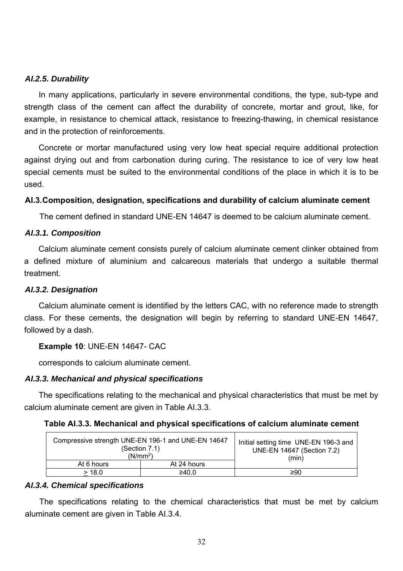## *AI.2.5. Durability*

In many applications, particularly in severe environmental conditions, the type, sub-type and strength class of the cement can affect the durability of concrete, mortar and grout, like, for example, in resistance to chemical attack, resistance to freezing-thawing, in chemical resistance and in the protection of reinforcements.

 against drying out and from carbonation during curing. The resistance to ice of very low heat special cements must be suited to the environmental conditions of the place in which it is to be Concrete or mortar manufactured using very low heat special require additional protection used.

## **AI.3. Composition, designation, specifications and durability of calcium aluminate cement**

The cement defined in standard UNE-EN 14647 is deemed to be calcium aluminate cement.

## *AI.3.1. Composition*

Calcium aluminate cement consists purely of calcium aluminate cement clinker obtained from a defined mixture of aluminium and calcareous materials that undergo a suitable thermal treatment.

## *AI.3.2. Designation*

Calcium aluminate cement is identified by the letters CAC, with no reference made to strength class. For these cements, the designation will begin by referring to standard UNE-EN 14647, followed by a dash.

## **Example 10**: UNE-EN 14647- CAC

corresponds to calcium aluminate cement.

## *AI.3.3. Mechanical and physical specifications*

The specifications relating to the mechanical and physical characteristics that must be met by calcium aluminate cement are given in Table AI.3.3.

| Table Al.3.3. Mechanical and physical specifications of calcium aluminate cement |  |  |  |  |  |  |  |
|----------------------------------------------------------------------------------|--|--|--|--|--|--|--|
|----------------------------------------------------------------------------------|--|--|--|--|--|--|--|

| Compressive strength UNE-EN 196-1 and UNE-EN 14647<br>(Section 7.1)<br>(N/mm <sup>2</sup> ) | Initial setting time UNE-EN 196-3 and<br>UNE-EN 14647 (Section 7.2)<br>(min) |     |
|---------------------------------------------------------------------------------------------|------------------------------------------------------------------------------|-----|
| At 6 hours                                                                                  | At 24 hours                                                                  |     |
| > 18.0                                                                                      | ≥40.0                                                                        | ≥90 |

## *AI.3.4. Chemical specifications*

The specifications relating to the chemical characteristics that must be met by calcium aluminate cement are given in Table AI.3.4.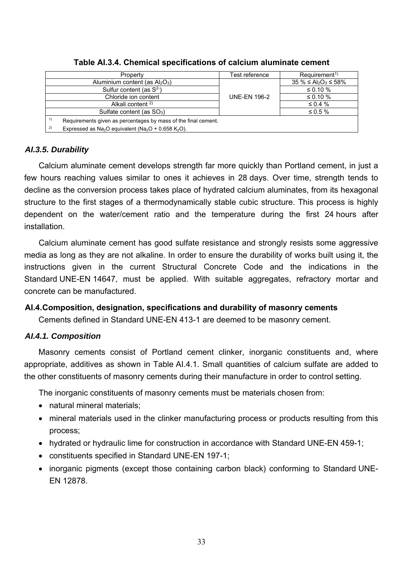| Property                                                                                      | Test reference      | $Re$ quirement <sup>1)</sup>  |
|-----------------------------------------------------------------------------------------------|---------------------|-------------------------------|
| Aluminium content (as $Al_2O_3$ )                                                             |                     | $35\% \leq Al_2O_3 \leq 58\%$ |
| Sulfur content (as $S^2$ )                                                                    |                     | $\leq 0.10 \%$                |
| Chloride ion content                                                                          | <b>UNE-EN 196-2</b> | ≤ 0.10 $%$                    |
| Alkali content $2$ )                                                                          |                     | $\leq 0.4 \%$                 |
| Sulfate content (as SO <sub>3</sub> )                                                         |                     | $\leq 0.5 \%$                 |
| 1)<br>Requirements given as percentages by mass of the final cement.                          |                     |                               |
| 2)<br>Expressed as Na <sub>2</sub> O equivalent (Na <sub>2</sub> O + 0.658 K <sub>2</sub> O). |                     |                               |

## **Table AI.3.4. Chemical specifications of calcium aluminate cement**

# *AI.3.5. Durability*

Calcium aluminate cement develops strength far more quickly than Portland cement, in just a few hours reaching values similar to ones it achieves in 28 days. Over time, strength tends to decline as the conversion process takes place of hydrated calcium aluminates, from its hexagonal structure to the first stages of a thermodynamically stable cubic structure. This process is highly dependent on the water/cement ratio and the temperature during the first 24 hours after installation.

Calcium aluminate cement has good sulfate resistance and strongly resists some aggressive media as long as they are not alkaline. In order to ensure the durability of works built using it, the instructions given in the current Structural Concrete Code and the indications in the Standard UNE-EN 14647, must be applied. With suitable aggregates, refractory mortar and concrete can be manufactured.

# **AI.4. Composition, designation, specifications and durability of masonry cements**

Cements defined in Standard UNE-EN 413-1 are deemed to be masonry cement.

# *AI.4.1. Composition*

Masonry cements consist of Portland cement clinker, inorganic constituents and, where appropriate, additives as shown in Table AI.4.1. Small quantities of calcium sulfate are added to the other constituents of masonry cements during their manufacture in order to control setting.

The inorganic constituents of masonry cements must be materials chosen from:

- natural mineral materials:
- mineral materials used in the clinker manufacturing process or products resulting from this process;
- hydrated or hydraulic lime for construction in accordance with Standard UNE-EN 459-1;
- constituents specified in Standard UNE-EN 197-1;
- inorganic pigments (except those containing carbon black) conforming to Standard UNE-EN 12878.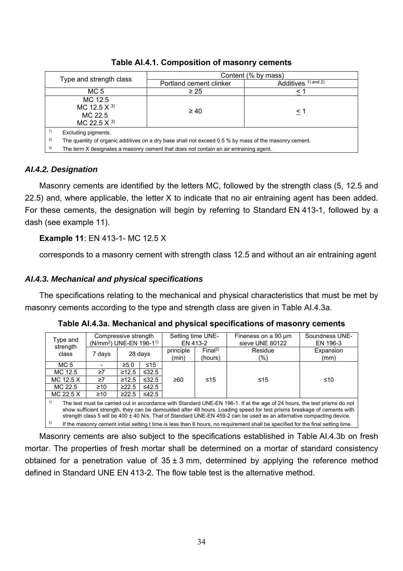|                                                                                                             | Content (% by mass)                                                                   |                         |  |  |  |
|-------------------------------------------------------------------------------------------------------------|---------------------------------------------------------------------------------------|-------------------------|--|--|--|
| Type and strength class                                                                                     | Portland cement clinker                                                               | Additives $1)$ and $2)$ |  |  |  |
| MC 5                                                                                                        | $\geq 25$                                                                             | $\,<\,$                 |  |  |  |
| MC 12.5<br>MC 12.5 $\times$ 3)<br>MC 22.5<br>MC 22.5 $\times$ 3)                                            | $\geq 40$                                                                             | < 1                     |  |  |  |
| 1)<br>Excluding pigments.                                                                                   |                                                                                       |                         |  |  |  |
| 2)<br>The quantity of organic additives on a dry base shall not exceed 0.5 % by mass of the masonry cement. |                                                                                       |                         |  |  |  |
| 3)                                                                                                          | The term X designates a masonry cement that does not contain an air entraining agent. |                         |  |  |  |

**Table AI.4.1. Composition of masonry cements** 

# *AI.4.2. Designation*

Masonry cements are identified by the letters MC, followed by the strength class (5, 12.5 and 22.5) and, where applicable, the letter X to indicate that no air entraining agent has been added. For these cements, the designation will begin by referring to Standard EN 413-1, followed by a dash (see example 11).

# **Example 11**: EN 413-1- MC 12.5 X

corresponds to a masonry cement with strength class 12.5 and without an air entraining agent

# *AI.4.3. Mechanical and physical specifications*

The specifications relating to the mechanical and physical characteristics that must be met by masonry cements according to the type and strength class are given in Table AI.4.3a.

| Type and                                                                                                                                                                                                                                                                                                                                                                          | (N/mm <sup>2</sup> ) UNE-EN 196-1 <sup>1)</sup> | Compressive strength |             | Setting time UNE-<br>EN 413-2 |                               | Fineness on a 90 um<br>sieve UNE 80122 | Soundness UNE-<br>EN 196-3 |
|-----------------------------------------------------------------------------------------------------------------------------------------------------------------------------------------------------------------------------------------------------------------------------------------------------------------------------------------------------------------------------------|-------------------------------------------------|----------------------|-------------|-------------------------------|-------------------------------|----------------------------------------|----------------------------|
| strength<br>class                                                                                                                                                                                                                                                                                                                                                                 | 7 days                                          |                      | 28 days     | principle<br>(min)            | Final <sup>2</sup><br>(hours) | Residue<br>(%)                         | Expansion<br>(mm)          |
| MC 5                                                                                                                                                                                                                                                                                                                                                                              |                                                 | $\geq 5.0$           | $\leq 15$   |                               |                               |                                        |                            |
| MC 12.5                                                                                                                                                                                                                                                                                                                                                                           | $\geq 7$                                        | $\geq 12.5$          | $\leq 32.5$ |                               |                               |                                        |                            |
| MC 12.5 X                                                                                                                                                                                                                                                                                                                                                                         | $\geq 7$                                        | $\geq 12.5$          | $\leq 32.5$ | ≥60                           | ≤15                           | ≤15                                    | ≤10                        |
| MC 22.5                                                                                                                                                                                                                                                                                                                                                                           | $\geq 10$                                       | $\geq$ 22.5          | $\leq$ 42.5 |                               |                               |                                        |                            |
| MC 22.5 X                                                                                                                                                                                                                                                                                                                                                                         | $\geq 10$                                       | $\geq$ 22.5          | $\leq$ 42.5 |                               |                               |                                        |                            |
| 1)<br>The test must be carried out in accordance with Standard UNE-EN 196-1. If at the age of 24 hours, the test prisms do not<br>show sufficient strength, they can be demoulded after 48 hours. Loading speed for test prisms breakage of cements with<br>strength class 5 will be 400 ± 40 N/s. That of Standard UNE-EN 459-2 can be used as an alternative compacting device. |                                                 |                      |             |                               |                               |                                        |                            |
| 2)<br>If the masonry cement initial setting t time is less than 6 hours, no requirement shall be specified for the final setting time.                                                                                                                                                                                                                                            |                                                 |                      |             |                               |                               |                                        |                            |

**Table AI.4.3a. Mechanical and physical specifications of masonry cements** 

Masonry cements are also subject to the specifications established in Table AI.4.3b on fresh mortar. The properties of fresh mortar shall be determined on a mortar of standard consistency obtained for a penetration value of  $35 \pm 3$  mm, determined by applying the reference method defined in Standard UNE EN 413-2. The flow table test is the alternative method.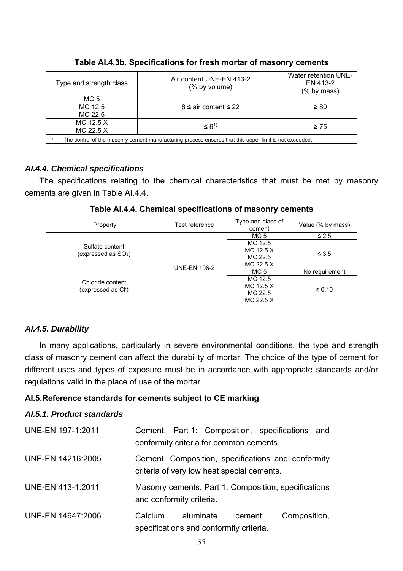| Type and strength class                                                                                      | Air content UNE-EN 413-2<br>(% by volume) | Water retention UNE-<br>EN 413-2<br>(% by mass) |  |
|--------------------------------------------------------------------------------------------------------------|-------------------------------------------|-------------------------------------------------|--|
| MC <sub>5</sub><br>MC 12.5<br>MC 22.5                                                                        | $8 \leq$ air content $\leq 22$            | $\geq 80$                                       |  |
| MC 12.5 X<br>MC 22.5 X                                                                                       | $\leq 6^{1}$                              | $\geq 75$                                       |  |
| 1)<br>The control of the masonry cement manufacturing process ensures that this upper limit is not exceeded. |                                           |                                                 |  |

## **Table AI.4.3b. Specifications for fresh mortar of masonry cements**

# *AI.4.4. Chemical specifications*

The specifications relating to the chemical characteristics that must be met by masonry cements are given in Table AI.4.4.

| Table AI.4.4. Chemical specifications of masonry cements |  |  |  |
|----------------------------------------------------------|--|--|--|
|                                                          |  |  |  |

| Property                                            | Test reference      | Type and class of<br>cement                  | Value (% by mass) |
|-----------------------------------------------------|---------------------|----------------------------------------------|-------------------|
| Sulfate content<br>(expressed as $SO3$ )            | <b>UNE-EN 196-2</b> | MC 5                                         | $\leq 2.5$        |
|                                                     |                     | MC 12.5<br>MC 12.5 X<br>MC 22.5<br>MC 22.5 X | $\leq 3.5$        |
| Chloride content<br>(expressed as Cl <sup>-</sup> ) |                     | MC <sub>5</sub>                              | No requirement    |
|                                                     |                     | MC 12.5<br>MC 12.5 X<br>MC 22.5<br>MC 22.5 X | $\leq 0.10$       |

# *AI.4.5. Durability*

In many applications, particularly in severe environmental conditions, the type and strength class of masonry cement can affect the durability of mortar. The choice of the type of cement for different uses and types of exposure must be in accordance with appropriate standards and/or regulations valid in the place of use of the mortar.

# **AI.5. Reference standards for cements subject to CE marking**

# *AI.5.1. Product standards*

| <b>UNE-EN 197-1:2011</b> | Cement. Part 1: Composition, specifications and<br>conformity criteria for common cements.       |
|--------------------------|--------------------------------------------------------------------------------------------------|
| <b>UNE-EN 14216:2005</b> | Cement. Composition, specifications and conformity<br>criteria of very low heat special cements. |
| UNE-EN 413-1:2011        | Masonry cements. Part 1: Composition, specifications<br>and conformity criteria.                 |
| UNE-EN 14647:2006        | Composition,<br>Calcium<br>aluminate<br>cement.<br>specifications and conformity criteria.       |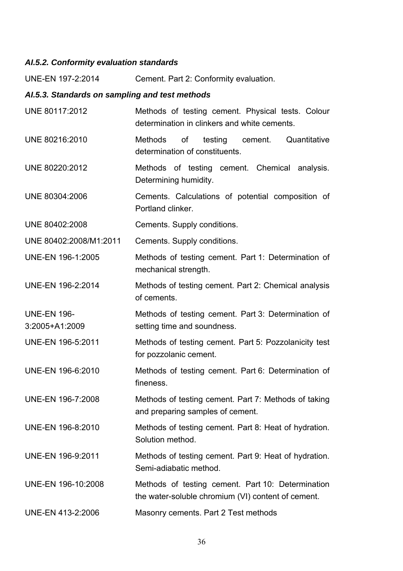# *AI.5.2. Conformity evaluation standards*

UNE-EN 197-2:2014 Cement. Part 2: Conformity evaluation.

# *AI.5.3. Standards on sampling and test methods*

| UNE 80117:2012                       | Methods of testing cement. Physical tests. Colour<br>determination in clinkers and white cements.       |
|--------------------------------------|---------------------------------------------------------------------------------------------------------|
| UNE 80216:2010                       | of testing cement.<br>Quantitative<br><b>Methods</b><br>determination of constituents.                  |
| UNE 80220:2012                       | Methods of testing cement. Chemical analysis.<br>Determining humidity.                                  |
| UNE 80304:2006                       | Cements. Calculations of potential composition of<br>Portland clinker.                                  |
| UNE 80402:2008                       | Cements. Supply conditions.                                                                             |
| UNE 80402:2008/M1:2011               | Cements. Supply conditions.                                                                             |
| UNE-EN 196-1:2005                    | Methods of testing cement. Part 1: Determination of<br>mechanical strength.                             |
| UNE-EN 196-2:2014                    | Methods of testing cement. Part 2: Chemical analysis<br>of cements.                                     |
| <b>UNE-EN 196-</b><br>3:2005+A1:2009 | Methods of testing cement. Part 3: Determination of<br>setting time and soundness.                      |
| UNE-EN 196-5:2011                    | Methods of testing cement. Part 5: Pozzolanicity test<br>for pozzolanic cement.                         |
| UNE-EN 196-6:2010                    | Methods of testing cement. Part 6: Determination of<br>fineness.                                        |
| UNE-EN 196-7:2008                    | Methods of testing cement. Part 7: Methods of taking<br>and preparing samples of cement.                |
| UNE-EN 196-8:2010                    | Methods of testing cement. Part 8: Heat of hydration.<br>Solution method.                               |
| UNE-EN 196-9:2011                    | Methods of testing cement. Part 9: Heat of hydration.<br>Semi-adiabatic method.                         |
| UNE-EN 196-10:2008                   | Methods of testing cement. Part 10: Determination<br>the water-soluble chromium (VI) content of cement. |
| UNE-EN 413-2:2006                    | Masonry cements. Part 2 Test methods                                                                    |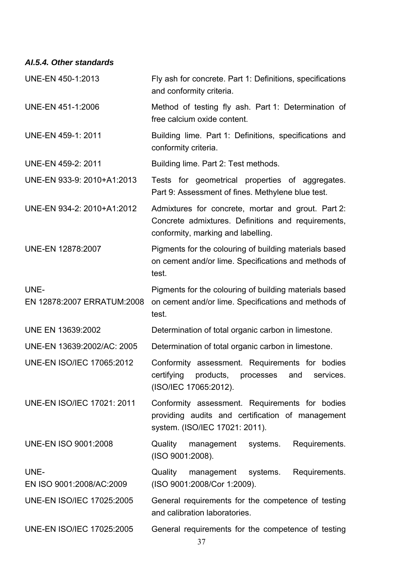*AI.5.4. Other standards* 

| UNE-EN 450-1:2013                  | Fly ash for concrete. Part 1: Definitions, specifications<br>and conformity criteria.                                                          |  |  |  |  |
|------------------------------------|------------------------------------------------------------------------------------------------------------------------------------------------|--|--|--|--|
| UNE-EN 451-1:2006                  | Method of testing fly ash. Part 1: Determination of<br>free calcium oxide content.                                                             |  |  |  |  |
| UNE-EN 459-1: 2011                 | Building lime. Part 1: Definitions, specifications and<br>conformity criteria.                                                                 |  |  |  |  |
| UNE-EN 459-2: 2011                 | Building lime. Part 2: Test methods.                                                                                                           |  |  |  |  |
| UNE-EN 933-9: 2010+A1:2013         | Tests for geometrical properties of aggregates.<br>Part 9: Assessment of fines. Methylene blue test.                                           |  |  |  |  |
| UNE-EN 934-2: 2010+A1:2012         | Admixtures for concrete, mortar and grout. Part 2:<br>Concrete admixtures. Definitions and requirements,<br>conformity, marking and labelling. |  |  |  |  |
| <b>UNE-EN 12878:2007</b>           | Pigments for the colouring of building materials based<br>on cement and/or lime. Specifications and methods of<br>test.                        |  |  |  |  |
| UNE-<br>EN 12878:2007 ERRATUM:2008 | Pigments for the colouring of building materials based<br>on cement and/or lime. Specifications and methods of<br>test.                        |  |  |  |  |
| <b>UNE EN 13639:2002</b>           | Determination of total organic carbon in limestone.                                                                                            |  |  |  |  |
| UNE-EN 13639:2002/AC: 2005         | Determination of total organic carbon in limestone.                                                                                            |  |  |  |  |
| <b>UNE-EN ISO/IEC 17065:2012</b>   | Conformity assessment. Requirements for bodies<br>certifying products, processes and services.<br>(ISO/IEC 17065:2012).                        |  |  |  |  |
| <b>UNE-EN ISO/IEC 17021: 2011</b>  | Conformity assessment. Requirements for bodies<br>providing audits and certification of management<br>system. (ISO/IEC 17021: 2011).           |  |  |  |  |
| <b>UNE-EN ISO 9001:2008</b>        | Quality management systems. Requirements.<br>(ISO 9001:2008).                                                                                  |  |  |  |  |
| UNE-<br>EN ISO 9001:2008/AC:2009   | Quality<br>Requirements.<br>management systems.<br>(ISO 9001:2008/Cor 1:2009).                                                                 |  |  |  |  |
| <b>UNE-EN ISO/IEC 17025:2005</b>   | General requirements for the competence of testing<br>and calibration laboratories.                                                            |  |  |  |  |
| <b>UNE-EN ISO/IEC 17025:2005</b>   | General requirements for the competence of testing                                                                                             |  |  |  |  |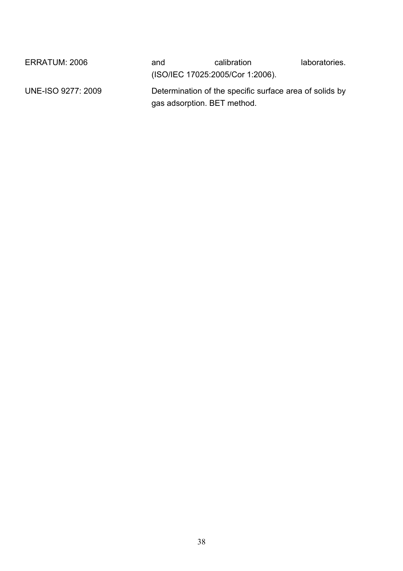| ERRATUM: 2006      | and                         | calibration                                             | laboratories. |
|--------------------|-----------------------------|---------------------------------------------------------|---------------|
|                    |                             | (ISO/IEC 17025:2005/Cor 1:2006).                        |               |
| UNE-ISO 9277: 2009 | gas adsorption. BET method. | Determination of the specific surface area of solids by |               |
|                    |                             |                                                         |               |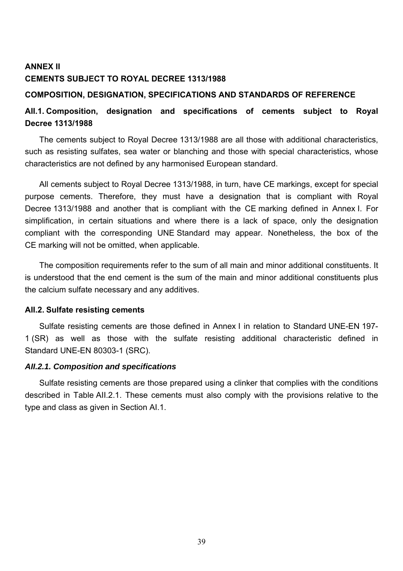# **ANNEX II CEMENTS SUBJECT TO ROYAL DECREE 1313/1988**

## **COMPOSITION, DESIGNATION, SPECIFICATIONS AND STANDARDS OF REFERENCE**

# **AII.1. Composition, designation and specifications of cements subject to Royal Decree 1313/1988**

The cements subject to Royal Decree 1313/1988 are all those with additional characteristics, such as resisting sulfates, sea water or blanching and those with special characteristics, whose characteristics are not defined by any harmonised European standard.

All cements subject to Royal Decree 1313/1988, in turn, have CE markings, except for special purpose cements. Therefore, they must have a designation that is compliant with Royal Decree 1313/1988 and another that is compliant with the CE marking defined in Annex I. For simplification, in certain situations and where there is a lack of space, only the designation compliant with the corresponding UNE Standard may appear. Nonetheless, the box of the CE marking will not be omitted, when applicable.

The composition requirements refer to the sum of all main and minor additional constituents. It is understood that the end cement is the sum of the main and minor additional constituents plus the calcium sulfate necessary and any additives.

## **AII.2. Sulfate resisting cements**

Sulfate resisting cements are those defined in Annex I in relation to Standard UNE-EN 197- 1 (SR) as well as those with the sulfate resisting additional characteristic defined in Standard UNE-EN 80303-1 (SRC).

## *AII.2.1. Composition and specifications*

Sulfate resisting cements are those prepared using a clinker that complies with the conditions described in Table AII.2.1. These cements must also comply with the provisions relative to the type and class as given in Section AI.1.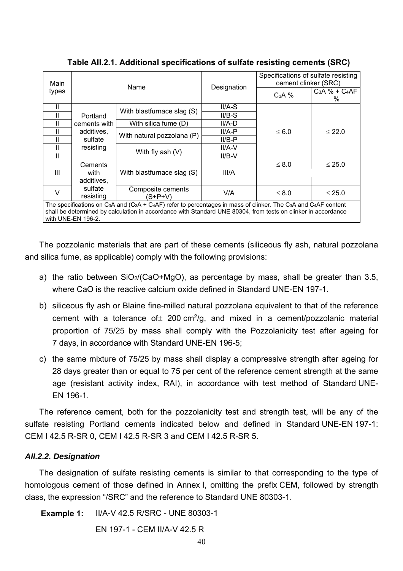| Main   | Name                            |                                                                                                                                                                                                                                                                                                | Designation | Specifications of sulfate resisting<br>cement clinker (SRC) |                        |  |
|--------|---------------------------------|------------------------------------------------------------------------------------------------------------------------------------------------------------------------------------------------------------------------------------------------------------------------------------------------|-------------|-------------------------------------------------------------|------------------------|--|
| types  |                                 |                                                                                                                                                                                                                                                                                                |             | $C3A$ %                                                     | $C_3A \% + C_4AF$<br>% |  |
| Ш      |                                 | With blastfurnace slag (S)                                                                                                                                                                                                                                                                     | $II/A-S$    |                                                             |                        |  |
| Н      | Portland                        |                                                                                                                                                                                                                                                                                                | $II/B-S$    |                                                             |                        |  |
| Н      | cements with                    | With silica fume (D)                                                                                                                                                                                                                                                                           | II/A-D      |                                                             |                        |  |
| Ш      | additives,                      |                                                                                                                                                                                                                                                                                                | $II/A-P$    | $\leq 6.0$                                                  | $\leq 22.0$            |  |
| Ш      | sulfate                         | With natural pozzolana (P)                                                                                                                                                                                                                                                                     | $II/B-P$    |                                                             |                        |  |
| Ш      | resisting<br>With fly ash $(V)$ | II/A-V                                                                                                                                                                                                                                                                                         |             |                                                             |                        |  |
| Ш      |                                 |                                                                                                                                                                                                                                                                                                | $II/B-V$    |                                                             |                        |  |
| Ш      | Cements<br>with<br>additives,   | With blastfurnace slag (S)                                                                                                                                                                                                                                                                     | III/A       | $\leq 8.0$                                                  | $\leq 25.0$            |  |
| $\vee$ | sulfate<br>resisting            | Composite cements<br>(S+P+V)                                                                                                                                                                                                                                                                   | V/A         | $\leq 8.0$                                                  | $\leq 25.0$            |  |
|        | with UNE-EN 196-2.              | The specifications on C <sub>3</sub> A and (C <sub>3</sub> A + C <sub>4</sub> AF) refer to percentages in mass of clinker. The C <sub>3</sub> A and C <sub>4</sub> AF content<br>shall be determined by calculation in accordance with Standard UNE 80304, from tests on clinker in accordance |             |                                                             |                        |  |

**Table AII.2.1. Additional specifications of sulfate resisting cements (SRC)**

The pozzolanic materials that are part of these cements (siliceous fly ash, natural pozzolana and silica fume, as applicable) comply with the following provisions:

- a) the ratio between SiO<sub>2</sub>/(CaO+MgO), as percentage by mass, shall be greater than 3.5, where CaO is the reactive calcium oxide defined in Standard UNE-EN 197-1.
- b) siliceous fly ash or Blaine fine-milled natural pozzolana equivalent to that of the reference cement with a tolerance of  $\pm$  200 cm<sup>2</sup>/g, and mixed in a cement/pozzolanic material proportion of 75/25 by mass shall comply with the Pozzolanicity test after ageing for 7 days, in accordance with Standard UNE-EN 196-5;
- c) the same mixture of 75/25 by mass shall display a compressive strength after ageing for 28 days greater than or equal to 75 per cent of the reference cement strength at the same age (resistant activity index, RAI), in accordance with test method of Standard UNE-EN 196-1.

The reference cement, both for the pozzolanicity test and strength test, will be any of the sulfate resisting Portland cements indicated below and defined in Standard UNE-EN 197-1: CEM I 42.5 R-SR 0, CEM I 42.5 R-SR 3 and CEM I 42.5 R-SR 5.

## *AII.2.2. Designation*

The designation of sulfate resisting cements is similar to that corresponding to the type of homologous cement of those defined in Annex I, omitting the prefix CEM, followed by strength class, the expression "/SRC" and the reference to Standard UNE 80303-1.

**Example 1:** II/A-V 42.5 R/SRC - UNE 80303-1

EN 197-1 - CEM II/A-V 42.5 R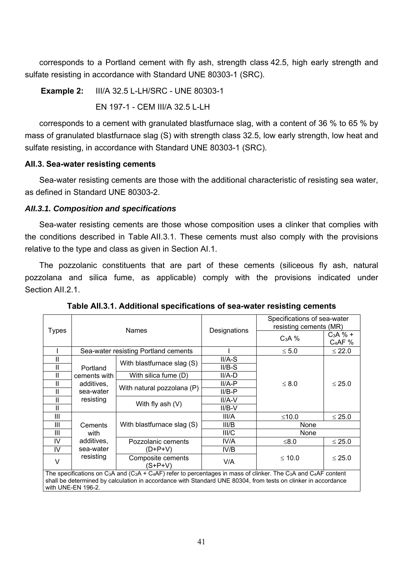corresponds to a Portland cement with fly ash, strength class 42.5, high early strength and sulfate resisting in accordance with Standard UNE 80303-1 (SRC).

**Example 2:** III/A 32.5 L-LH/SRC - UNE 80303-1

EN 197-1 - CEM III/A 32.5 L-LH

 corresponds to a cement with granulated blastfurnace slag, with a content of 36 % to 65 % by mass of granulated blastfurnace slag (S) with strength class 32.5, low early strength, low heat and sulfate resisting, in accordance with Standard UNE 80303-1 (SRC).

## **AII.3. Sea-water resisting cements**

Sea-water resisting cements are those with the additional characteristic of resisting sea water, as defined in Standard UNE 80303-2.

## *AII.3.1. Composition and specifications*

Sea-water resisting cements are those whose composition uses a clinker that complies with the conditions described in Table AII.3.1. These cements must also comply with the provisions relative to the type and class as given in Section AI.1.

The pozzolanic constituents that are part of these cements (siliceous fly ash, natural pozzolana and silica fume, as applicable) comply with the provisions indicated under Section All. 2.1.

|                                                                                                                                                                                                                                                                                                                      | <b>Names</b>                              |                                      |              | Specifications of sea-water<br>resisting cements (MR) |                        |  |
|----------------------------------------------------------------------------------------------------------------------------------------------------------------------------------------------------------------------------------------------------------------------------------------------------------------------|-------------------------------------------|--------------------------------------|--------------|-------------------------------------------------------|------------------------|--|
| <b>Types</b>                                                                                                                                                                                                                                                                                                         |                                           |                                      | Designations | $C3A$ %                                               | $C_3A%$ +<br>$C_4AF$ % |  |
|                                                                                                                                                                                                                                                                                                                      |                                           | Sea-water resisting Portland cements |              | $\leq 5.0$                                            | $\leq 22.0$            |  |
| Ш                                                                                                                                                                                                                                                                                                                    |                                           | With blastfurnace slag (S)           | II/A-S       |                                                       |                        |  |
| Ш                                                                                                                                                                                                                                                                                                                    | Portland                                  |                                      | $II/B-S$     |                                                       |                        |  |
| Ш                                                                                                                                                                                                                                                                                                                    | cements with                              | With silica fume (D)                 | II/A-D       |                                                       |                        |  |
| Ш                                                                                                                                                                                                                                                                                                                    | additives,                                | With natural pozzolana (P)           | II/A-P       | $\leq 8.0$                                            | $\leq 25.0$            |  |
| Ш                                                                                                                                                                                                                                                                                                                    | sea-water                                 |                                      | $II/B-P$     |                                                       |                        |  |
| $\mathsf{I}$                                                                                                                                                                                                                                                                                                         | resisting                                 | With fly ash $(V)$                   | $II/A-V$     |                                                       |                        |  |
| Ш                                                                                                                                                                                                                                                                                                                    |                                           |                                      | II/B-V       |                                                       |                        |  |
| Ш                                                                                                                                                                                                                                                                                                                    |                                           |                                      | III/A        | ≤10.0                                                 | $\leq 25.0$            |  |
| $\mathbf{III}$                                                                                                                                                                                                                                                                                                       | Cements                                   | With blastfurnace slag (S)           | III/B        | None                                                  |                        |  |
| Ш                                                                                                                                                                                                                                                                                                                    | with                                      |                                      | III/C        | None                                                  |                        |  |
| IV                                                                                                                                                                                                                                                                                                                   | additives,                                | Pozzolanic cements                   | IV/A         | ≤8.0                                                  | $\leq 25.0$            |  |
| IV                                                                                                                                                                                                                                                                                                                   | sea-water                                 | (D+P+V)                              | IV/B         |                                                       |                        |  |
| $\vee$                                                                                                                                                                                                                                                                                                               | resisting<br>Composite cements<br>(S+P+V) |                                      | V/A          | $≤ 10.0$<br>$\leq 25.0$                               |                        |  |
| The specifications on C <sub>3</sub> A and (C <sub>3</sub> A + C <sub>4</sub> AF) refer to percentages in mass of clinker. The C <sub>3</sub> A and C <sub>4</sub> AF content<br>shall be determined by calculation in accordance with Standard UNE 80304, from tests on clinker in accordance<br>with UNE-EN 196-2. |                                           |                                      |              |                                                       |                        |  |

**Table AII.3.1. Additional specifications of sea-water resisting cements**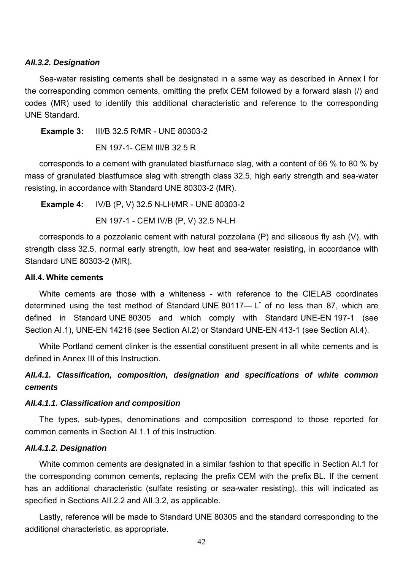#### *AII.3.2. Designation*

Sea-water resisting cements shall be designated in a same way as described in Annex I for the corresponding common cements, omitting the prefix CEM followed by a forward slash (/) and codes (MR) used to identify this additional characteristic and reference to the corresponding UNE Standard.

**Example 3:** III/B 32.5 R/MR - UNE 80303-2

EN 197-1- CEM III/B 32.5 R

 corresponds to a cement with granulated blastfurnace slag, with a content of 66 % to 80 % by mass of granulated blastfurnace slag with strength class 32.5, high early strength and sea-water resisting, in accordance with Standard UNE 80303-2 (MR).

**Example 4:** IV/B (P, V) 32.5 N-LH/MR - UNE 80303-2

EN 197-1 - CEM IV/B (P, V) 32.5 N-LH

corresponds to a pozzolanic cement with natural pozzolana (P) and siliceous fly ash (V), with strength class 32.5, normal early strength, low heat and sea-water resisting, in accordance with Standard UNE 80303-2 (MR).

#### **AII.4. White cements**

determined using the test method of Standard UNE 80117—L<sup>\*</sup> of no less than 87, which are White cements are those with a whiteness - with reference to the CIELAB coordinates defined in Standard UNE 80305 and which comply with Standard UNE-EN 197-1 (see Section AI.1), UNE-EN 14216 (see Section AI.2) or Standard UNE-EN 413-1 (see Section AI.4).

White Portland cement clinker is the essential constituent present in all white cements and is defined in Annex III of this Instruction.

# *AII.4.1. Classification, composition, designation and specifications of white common cements*

### *AII.4.1.1. Classification and composition*

The types, sub-types, denominations and composition correspond to those reported for common cements in Section AI.1.1 of this Instruction.

### *AII.4.1.2. Designation*

White common cements are designated in a similar fashion to that specific in Section AI.1 for the corresponding common cements, replacing the prefix CEM with the prefix BL. If the cement has an additional characteristic (sulfate resisting or sea-water resisting), this will indicated as specified in Sections AII.2.2 and AII.3.2, as applicable.

Lastly, reference will be made to Standard UNE 80305 and the standard corresponding to the additional characteristic, as appropriate.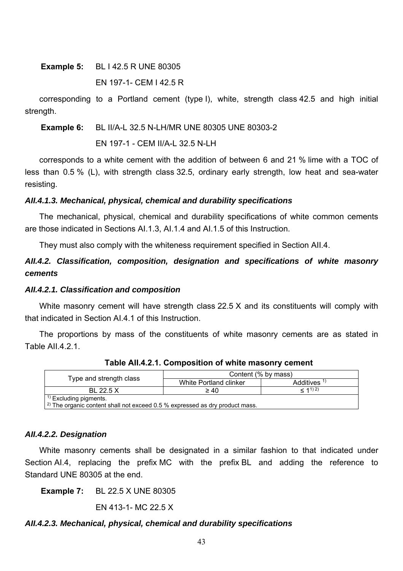**Example 5:** BL I 42.5 R UNE 80305

EN 197-1- CEM I 42.5 R

corresponding to a Portland cement (type I), white, strength class 42.5 and high initial strength.

**Example 6:** BL II/A-L 32.5 N-LH/MR UNE 80305 UNE 80303-2

EN 197-1 - CEM II/A-L 32.5 N-LH

corresponds to a white cement with the addition of between 6 and 21 % lime with a TOC of less than 0.5 % (L), with strength class 32.5, ordinary early strength, low heat and sea-water resisting.

## *AII.4.1.3. Mechanical, physical, chemical and durability specifications*

The mechanical, physical, chemical and durability specifications of white common cements are those indicated in Sections AI.1.3, AI.1.4 and AI.1.5 of this Instruction.

They must also comply with the whiteness requirement specified in Section AII.4.

# *AII.4.2. Classification, composition, designation and specifications of white masonry cements*

## *AII.4.2.1. Classification and composition*

White masonry cement will have strength class 22.5 X and its constituents will comply with that indicated in Section AI.4.1 of this Instruction.

The proportions by mass of the constituents of white masonry cements are as stated in Table All 4 2 1

|                                                                                                 | Content (% by mass)    |                         |  |  |  |
|-------------------------------------------------------------------------------------------------|------------------------|-------------------------|--|--|--|
| Type and strength class                                                                         | White Portland clinker | Additives <sup>1)</sup> |  |  |  |
| BL 22.5 X                                                                                       | $\geq 40$              | $-11)2$                 |  |  |  |
| $1$ Excluding pigments.                                                                         |                        |                         |  |  |  |
| $\vert$ <sup>2)</sup> The organic content shall not exceed 0.5 % expressed as dry product mass. |                        |                         |  |  |  |

**Table AII.4.2.1. Composition of white masonry cement** 

*AII.4.2.2. Designation* 

White masonry cements shall be designated in a similar fashion to that indicated under Section AI.4, replacing the prefix MC with the prefix BL and adding the reference to Standard UNE 80305 at the end.

**Example 7:** BL 22.5 X UNE 80305

EN 413-1- MC 22.5 X

## *AII.4.2.3. Mechanical, physical, chemical and durability specifications*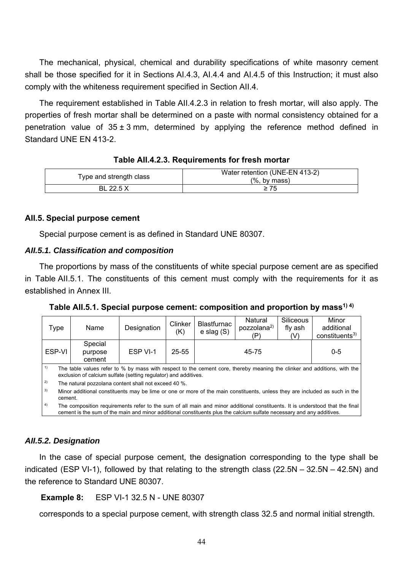The mechanical, physical, chemical and durability specifications of white masonry cement shall be those specified for it in Sections AI.4.3, AI.4.4 and AI.4.5 of this Instruction; it must also comply with the whiteness requirement specified in Section AII.4.

The requirement established in Table AII.4.2.3 in relation to fresh mortar, will also apply. The properties of fresh mortar shall be determined on a paste with normal consistency obtained for a penetration value of  $35 \pm 3$  mm, determined by applying the reference method defined in Standard UNE EN 413-2.

| Type and strength class | Water retention (UNE-EN 413-2)<br>$(%$ , by mass) |
|-------------------------|---------------------------------------------------|
| BL 22.5 X               |                                                   |

### **AII.5. Special purpose cement**

Special purpose cement is as defined in Standard UNE 80307.

### *AII.5.1. Classification and composition*

The proportions by mass of the constituents of white special purpose cement are as specified in Table AII.5.1. The constituents of this cement must comply with the requirements for it as established in Annex III.

Table All.5.1. Special purpose cement: composition and proportion by mass<sup>1) 4)</sup>

| Type     | Name                                                                                                                                                                                                                                                  | Designation | Clinker<br>(K) | Natural<br>pozzolana <sup>2)</sup><br>$e$ slag $(S)$<br>(P) |  | <b>Blastfurnac</b> |         | Siliceous<br>fly ash<br>(V) |  |
|----------|-------------------------------------------------------------------------------------------------------------------------------------------------------------------------------------------------------------------------------------------------------|-------------|----------------|-------------------------------------------------------------|--|--------------------|---------|-----------------------------|--|
| ESP-VI   | Special<br>purpose<br>cement                                                                                                                                                                                                                          | ESP VI-1    | $25 - 55$      | 45-75                                                       |  |                    | $0 - 5$ |                             |  |
| 1)<br>2) | The table values refer to % by mass with respect to the cement core, thereby meaning the clinker and additions, with the<br>exclusion of calcium sulfate (setting regulator) and additives.<br>The natural pozzolana content shall not exceed 40 %.   |             |                |                                                             |  |                    |         |                             |  |
| 3)       | Minor additional constituents may be lime or one or more of the main constituents, unless they are included as such in the<br>cement.                                                                                                                 |             |                |                                                             |  |                    |         |                             |  |
| 4)       | The composition requirements refer to the sum of all main and minor additional constituents. It is understood that the final<br>cement is the sum of the main and minor additional constituents plus the calcium sulfate necessary and any additives. |             |                |                                                             |  |                    |         |                             |  |

## *AII.5.2. Designation*

In the case of special purpose cement, the designation corresponding to the type shall be indicated (ESP VI-1), followed by that relating to the strength class (22.5N – 32.5N – 42.5N) and the reference to Standard UNE 80307.

**Example 8:** ESP VI-1 32.5 N - UNE 80307

corresponds to a special purpose cement, with strength class 32.5 and normal initial strength.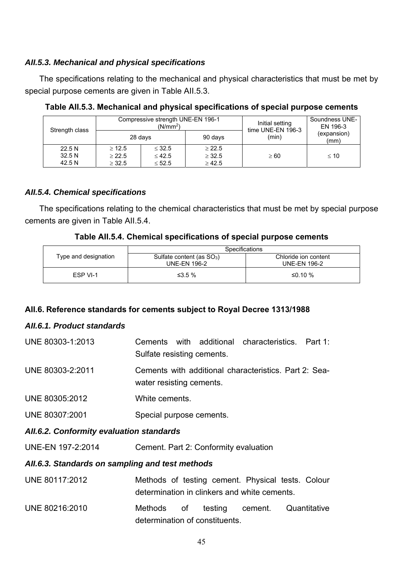## *AII.5.3. Mechanical and physical specifications*

The specifications relating to the mechanical and physical characteristics that must be met by special purpose cements are given in Table AII.5.3.

| Strength class |             | Compressive strength UNE-EN 196-1<br>(N/mm <sup>2</sup> ) | Initial setting<br>time UNE-EN 196-3 | Soundness UNE-<br>EN 196-3 |                     |  |
|----------------|-------------|-----------------------------------------------------------|--------------------------------------|----------------------------|---------------------|--|
|                | 28 days     |                                                           | 90 days                              | (min)                      | (expansion)<br>(mm) |  |
| 22.5N          | > 12.5      | $\leq$ 32.5                                               | > 22.5                               |                            |                     |  |
| 32.5N          | $\geq 22.5$ | $\leq 42.5$                                               | $\geq$ 32.5                          | $\geq 60$                  | $\leq 10$           |  |
| 42.5 N         | $\geq$ 32.5 | $\leq 52.5$                                               | $\geq 42.5$                          |                            |                     |  |

**Table AII.5.3. Mechanical and physical specifications of special purpose cements** 

## *AII.5.4. Chemical specifications*

The specifications relating to the chemical characteristics that must be met by special purpose cements are given in Table AII.5.4.

## **Table AII.5.4. Chemical specifications of special purpose cements**

|                      | Specifications                        |                      |  |  |  |
|----------------------|---------------------------------------|----------------------|--|--|--|
| Type and designation | Sulfate content (as SO <sub>3</sub> ) | Chloride ion content |  |  |  |
|                      | UNE-EN 196-2                          | UNE-EN 196-2         |  |  |  |
| FSP VI-1             | $≤3.5\%$                              | ≤0.10 %              |  |  |  |

## **AII.6. Reference standards for cements subject to Royal Decree 1313/1988**

## *AII.6.1. Product standards*

| UNE 80303-1:2013 | Cements with additional characteristics. Part 1:<br>Sulfate resisting cements.    |
|------------------|-----------------------------------------------------------------------------------|
| UNE 80303-2:2011 | Cements with additional characteristics. Part 2: Sea-<br>water resisting cements. |
| UNE 80305:2012   | White cements.                                                                    |
| UNE 80307:2001   | Special purpose cements.                                                          |
|                  |                                                                                   |

## *AII.6.2. Conformity evaluation standards*

UNE-EN 197-2:2014 Cement. Part 2: Conformity evaluation

## *AII.6.3. Standards on sampling and test methods*

| UNE 80117:2012 | Methods of testing cement. Physical tests. Colour |  |  |  |
|----------------|---------------------------------------------------|--|--|--|
|                | determination in clinkers and white cements.      |  |  |  |

UNE 80216:2010 Methods of testing cement. Quantitative determination of constituents.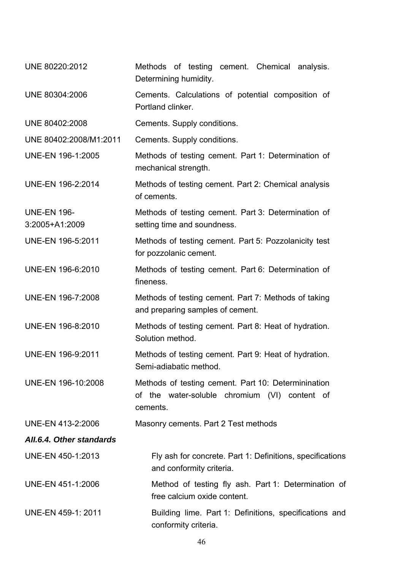| UNE 80220:2012                       | Methods of testing cement. Chemical analysis.<br>Determining humidity.                                           |
|--------------------------------------|------------------------------------------------------------------------------------------------------------------|
| UNE 80304:2006                       | Cements. Calculations of potential composition of<br>Portland clinker.                                           |
| UNE 80402:2008                       | Cements. Supply conditions.                                                                                      |
| UNE 80402:2008/M1:2011               | Cements. Supply conditions.                                                                                      |
| UNE-EN 196-1:2005                    | Methods of testing cement. Part 1: Determination of<br>mechanical strength.                                      |
| UNE-EN 196-2:2014                    | Methods of testing cement. Part 2: Chemical analysis<br>of cements.                                              |
| <b>UNE-EN 196-</b><br>3:2005+A1:2009 | Methods of testing cement. Part 3: Determination of<br>setting time and soundness.                               |
| UNE-EN 196-5:2011                    | Methods of testing cement. Part 5: Pozzolanicity test<br>for pozzolanic cement.                                  |
| UNE-EN 196-6:2010                    | Methods of testing cement. Part 6: Determination of<br>fineness.                                                 |
| UNE-EN 196-7:2008                    | Methods of testing cement. Part 7: Methods of taking<br>and preparing samples of cement.                         |
| UNE-EN 196-8:2010                    | Methods of testing cement. Part 8: Heat of hydration.<br>Solution method.                                        |
| UNE-EN 196-9:2011                    | Methods of testing cement. Part 9: Heat of hydration.<br>Semi-adiabatic method.                                  |
| UNE-EN 196-10:2008                   | Methods of testing cement. Part 10: Determinination<br>of the water-soluble chromium (VI) content of<br>cements. |
| UNE-EN 413-2:2006                    | Masonry cements. Part 2 Test methods                                                                             |
| All.6.4. Other standards             |                                                                                                                  |
| UNE-EN 450-1:2013                    | Fly ash for concrete. Part 1: Definitions, specifications<br>and conformity criteria.                            |
| UNE-EN 451-1:2006                    | Method of testing fly ash. Part 1: Determination of<br>free calcium oxide content.                               |
| UNE-EN 459-1: 2011                   | Building lime. Part 1: Definitions, specifications and<br>conformity criteria.                                   |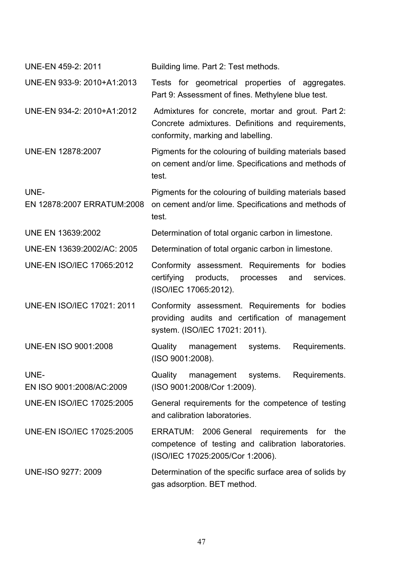| UNE-EN 459-2: 2011                 | Building lime. Part 2: Test methods.                                                                                                           |
|------------------------------------|------------------------------------------------------------------------------------------------------------------------------------------------|
| UNE-EN 933-9: 2010+A1:2013         | Tests for geometrical properties of aggregates.<br>Part 9: Assessment of fines. Methylene blue test.                                           |
| UNE-EN 934-2: 2010+A1:2012         | Admixtures for concrete, mortar and grout. Part 2:<br>Concrete admixtures. Definitions and requirements,<br>conformity, marking and labelling. |
| UNE-EN 12878:2007                  | Pigments for the colouring of building materials based<br>on cement and/or lime. Specifications and methods of<br>test.                        |
| UNE-<br>EN 12878:2007 ERRATUM:2008 | Pigments for the colouring of building materials based<br>on cement and/or lime. Specifications and methods of<br>test.                        |
| UNE EN 13639:2002                  | Determination of total organic carbon in limestone.                                                                                            |
| UNE-EN 13639:2002/AC: 2005         | Determination of total organic carbon in limestone.                                                                                            |
| <b>UNE-EN ISO/IEC 17065:2012</b>   | Conformity assessment. Requirements for bodies<br>certifying<br>products,<br>processes<br>services.<br>and<br>(ISO/IEC 17065:2012).            |
| <b>UNE-EN ISO/IEC 17021: 2011</b>  | Conformity assessment. Requirements for bodies<br>providing audits and certification of management<br>system. (ISO/IEC 17021: 2011).           |
| <b>UNE-EN ISO 9001:2008</b>        | Requirements.<br>Quality<br>management<br>systems.<br>(ISO 9001:2008).                                                                         |
| UNE-<br>EN ISO 9001:2008/AC:2009   | Quality<br>management<br>systems.<br>Requirements.<br>(ISO 9001:2008/Cor 1:2009).                                                              |
| <b>UNE-EN ISO/IEC 17025:2005</b>   | General requirements for the competence of testing<br>and calibration laboratories.                                                            |
| <b>UNE-EN ISO/IEC 17025:2005</b>   | ERRATUM: 2006 General requirements for<br>the<br>competence of testing and calibration laboratories.<br>(ISO/IEC 17025:2005/Cor 1:2006).       |
| UNE-ISO 9277: 2009                 | Determination of the specific surface area of solids by<br>gas adsorption. BET method.                                                         |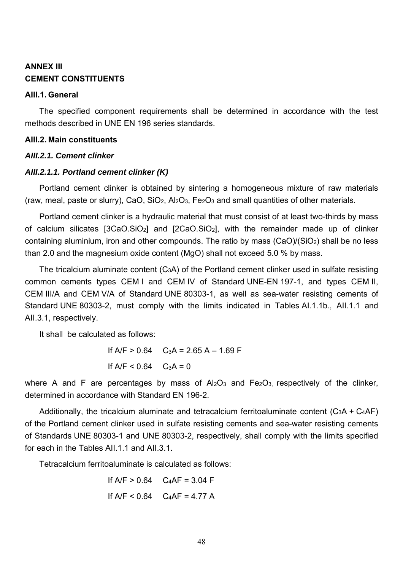# **ANNEX III CEMENT CONSTITUENTS**

### **AIII.1. General**

The specified component requirements shall be determined in accordance with the test methods described in UNE EN 196 series standards.

### **AIII.2. Main constituents**

## *AIII.2.1. Cement clinker*

## *AIII.2.1.1. Portland cement clinker (K)*

Portland cement clinker is obtained by sintering a homogeneous mixture of raw materials (raw, meal, paste or slurry), CaO, SiO<sub>2</sub>, Al<sub>2</sub>O<sub>3</sub>, Fe<sub>2</sub>O<sub>3</sub> and small quantities of other materials.

Portland cement clinker is a hydraulic material that must consist of at least two-thirds by mass of calcium silicates [3CaO.SiO2] and [2CaO.SiO2], with the remainder made up of clinker containing aluminium, iron and other compounds. The ratio by mass (CaO)/(SiO2) shall be no less than 2.0 and the magnesium oxide content (MgO) shall not exceed 5.0 % by mass.

The tricalcium aluminate content (C3A) of the Portland cement clinker used in sulfate resisting common cements types CEM I and CEM IV of Standard UNE-EN 197-1, and types CEM II, CEM III/A and CEM V/A of Standard UNE 80303-1, as well as sea-water resisting cements of Standard UNE 80303-2, must comply with the limits indicated in Tables AI.1.1b., AII.1.1 and AII.3.1, respectively.

It shall be calculated as follows:

If  $A/F > 0.64$  C<sub>3</sub>A = 2.65 A – 1.69 F If  $A/F < 0.64$   $C_3A = 0$ 

where A and F are percentages by mass of  $Al_2O_3$  and  $Fe_2O_3$ , respectively of the clinker, determined in accordance with Standard EN 196-2.

Additionally, the tricalcium aluminate and tetracalcium ferritoaluminate content  $(C_3A + C_4AF)$ of the Portland cement clinker used in sulfate resisting cements and sea-water resisting cements of Standards UNE 80303-1 and UNE 80303-2, respectively, shall comply with the limits specified for each in the Tables AII.1.1 and AII.3.1.

Tetracalcium ferritoaluminate is calculated as follows:

If A/F > 0.64 
$$
C_4AF = 3.04 F
$$
  
\nIf A/F  $< 0.64$   $C_4AF = 4.77 A$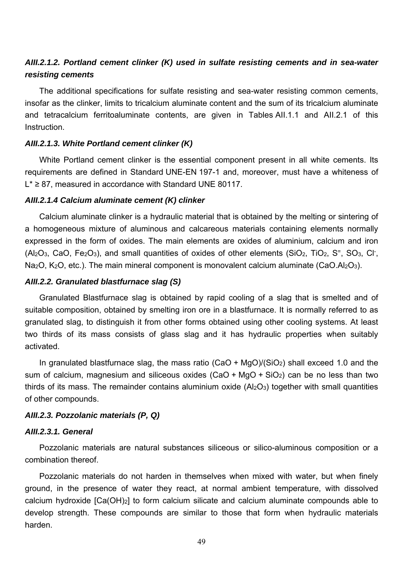# *AIII.2.1.2. Portland cement clinker (K) used in sulfate resisting cements and in sea-water resisting cements*

The additional specifications for sulfate resisting and sea-water resisting common cements, insofar as the clinker, limits to tricalcium aluminate content and the sum of its tricalcium aluminate and tetracalcium ferritoaluminate contents, are given in Tables AII.1.1 and AII.2.1 of this Instruction.

### *AIII.2.1.3. White Portland cement clinker (K)*

White Portland cement clinker is the essential component present in all white cements. Its requirements are defined in Standard UNE-EN 197-1 and, moreover, must have a whiteness of L\* ≥ 87, measured in accordance with Standard UNE 80117.

### *AIII.2.1.4 Calcium aluminate cement (K) clinker*

 a homogeneous mixture of aluminous and calcareous materials containing elements normally Calcium aluminate clinker is a hydraulic material that is obtained by the melting or sintering of expressed in the form of oxides. The main elements are oxides of aluminium, calcium and iron  $(AI<sub>2</sub>O<sub>3</sub>, CaO, Fe<sub>2</sub>O<sub>3</sub>)$ , and small quantities of oxides of other elements (SiO<sub>2</sub>, TiO<sub>2</sub>, S<sup>=</sup>, SO<sub>3</sub>, Cl<sup>-</sup>, Na<sub>2</sub>O, K<sub>2</sub>O, etc.). The main mineral component is monovalent calcium aluminate (CaO.Al<sub>2</sub>O<sub>3</sub>).

### *AIII.2.2. Granulated blastfurnace slag (S)*

Granulated Blastfurnace slag is obtained by rapid cooling of a slag that is smelted and of suitable composition, obtained by smelting iron ore in a blastfurnace. It is normally referred to as granulated slag, to distinguish it from other forms obtained using other cooling systems. At least two thirds of its mass consists of glass slag and it has hydraulic properties when suitably activated.

 In granulated blastfurnace slag, the mass ratio (CaO + MgO)/(SiO2) shall exceed 1.0 and the sum of calcium, magnesium and siliceous oxides  $(CaO + MgO + SiO<sub>2</sub>)$  can be no less than two thirds of its mass. The remainder contains aluminium oxide  $(AI_2O_3)$  together with small quantities of other compounds.

## *AIII.2.3. Pozzolanic materials (P, Q)*

### *AIII.2.3.1. General*

Pozzolanic materials are natural substances siliceous or silico-aluminous composition or a combination thereof.

Pozzolanic materials do not harden in themselves when mixed with water, but when finely ground, in the presence of water they react, at normal ambient temperature, with dissolved calcium hydroxide [Ca(OH)2] to form calcium silicate and calcium aluminate compounds able to develop strength. These compounds are similar to those that form when hydraulic materials harden.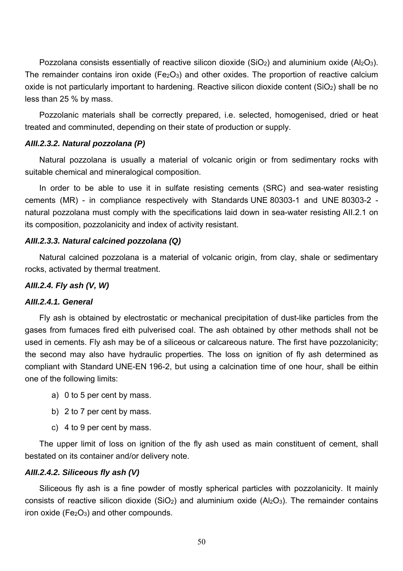Pozzolana consists essentially of reactive silicon dioxide (SiO<sub>2</sub>) and aluminium oxide (Al<sub>2</sub>O<sub>3</sub>). The remainder contains iron oxide ( $Fe<sub>2</sub>O<sub>3</sub>$ ) and other oxides. The proportion of reactive calcium oxide is not particularly important to hardening. Reactive silicon dioxide content  $(SiO<sub>2</sub>)$  shall be no less than 25 % by mass.

Pozzolanic materials shall be correctly prepared, i.e. selected, homogenised, dried or heat treated and comminuted, depending on their state of production or supply.

### *AIII.2.3.2. Natural pozzolana (P)*

 Natural pozzolana is usually a material of volcanic origin or from sedimentary rocks with suitable chemical and mineralogical composition.

In order to be able to use it in sulfate resisting cements (SRC) and sea-water resisting cements (MR) - in compliance respectively with Standards UNE 80303-1 and UNE 80303-2 natural pozzolana must comply with the specifications laid down in sea-water resisting AII.2.1 on its composition, pozzolanicity and index of activity resistant.

### *AIII.2.3.3. Natural calcined pozzolana (Q)*

Natural calcined pozzolana is a material of volcanic origin, from clay, shale or sedimentary rocks, activated by thermal treatment.

## *AIII.2.4. Fly ash (V, W)*

## *AIII.2.4.1. General*

Fly ash is obtained by electrostatic or mechanical precipitation of dust-like particles from the gases from fumaces fired eith pulverised coal. The ash obtained by other methods shall not be used in cements. Fly ash may be of a siliceous or calcareous nature. The first have pozzolanicity; the second may also have hydraulic properties. The loss on ignition of fly ash determined as compliant with Standard UNE-EN 196-2, but using a calcination time of one hour, shall be eithin one of the following limits:

- a) 0 to 5 per cent by mass.
- b) 2 to 7 per cent by mass.
- c) 4 to 9 per cent by mass.

The upper limit of loss on ignition of the fly ash used as main constituent of cement, shall bestated on its container and/or delivery note.

## *AIII.2.4.2. Siliceous fly ash (V)*

Siliceous fly ash is a fine powder of mostly spherical particles with pozzolanicity. It mainly consists of reactive silicon dioxide (SiO<sub>2</sub>) and aluminium oxide (Al<sub>2</sub>O<sub>3</sub>). The remainder contains iron oxide ( $Fe<sub>2</sub>O<sub>3</sub>$ ) and other compounds.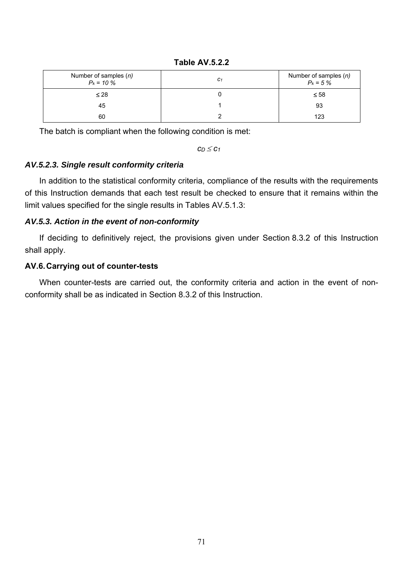**Table AV.5.2.2**

| Number of samples $(n)$<br>$P_k = 10 \%$ | C <sub>1</sub> | Number of samples $(n)$<br>$P_k = 5 \%$ |
|------------------------------------------|----------------|-----------------------------------------|
| $\leq 28$                                |                | $\leq 58$                               |
| 45                                       |                | 93                                      |
| 60                                       |                | 123                                     |

The batch is compliant when the following condition is met:

 $c_D \leq c_1$ 

# *AV.5.2.3. Single result conformity criteria*

In addition to the statistical conformity criteria, compliance of the results with the requirements of this Instruction demands that each test result be checked to ensure that it remains within the limit values specified for the single results in Tables AV.5.1.3:

# *AV.5.3. Action in the event of non-conformity*

If deciding to definitively reject, the provisions given under Section 8.3.2 of this Instruction shall apply.

# **AV.6. Carrying out of counter-tests**

When counter-tests are carried out, the conformity criteria and action in the event of nonconformity shall be as indicated in Section 8.3.2 of this Instruction.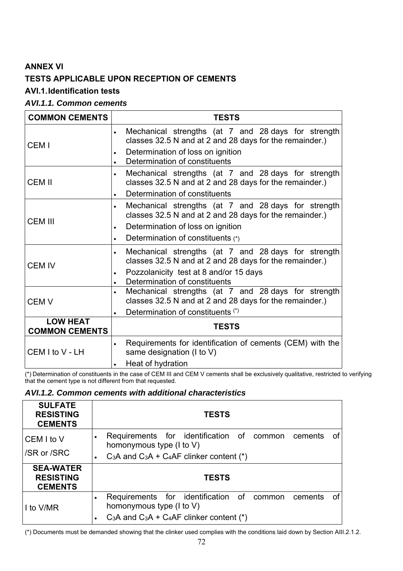# **ANNEX VI TESTS APPLICABLE UPON RECEPTION OF CEMENTS**

# **AVI.1. Identification tests**

# *AVI.1.1. Common cements*

| <b>COMMON CEMENTS</b>                    | <b>TESTS</b>                                                                                                                |
|------------------------------------------|-----------------------------------------------------------------------------------------------------------------------------|
| CEM I                                    | Mechanical strengths (at 7 and 28 days for strength<br>$\bullet$<br>classes 32.5 N and at 2 and 28 days for the remainder.) |
|                                          | Determination of loss on ignition<br>$\bullet$<br>Determination of constituents<br>$\bullet$                                |
| <b>CEM II</b>                            | Mechanical strengths (at 7 and 28 days for strength<br>$\bullet$<br>classes 32.5 N and at 2 and 28 days for the remainder.) |
|                                          | Determination of constituents<br>$\bullet$                                                                                  |
| <b>CEM III</b>                           | Mechanical strengths (at 7 and 28 days for strength<br>$\bullet$<br>classes 32.5 N and at 2 and 28 days for the remainder.) |
|                                          | Determination of loss on ignition<br>$\bullet$                                                                              |
|                                          | Determination of constituents (*)<br>$\bullet$                                                                              |
| <b>CEM IV</b>                            | Mechanical strengths (at 7 and 28 days for strength<br>$\bullet$<br>classes 32.5 N and at 2 and 28 days for the remainder.) |
|                                          | Pozzolanicity test at 8 and/or 15 days<br>$\bullet$<br>Determination of constituents<br>$\bullet$                           |
| <b>CEM V</b>                             | Mechanical strengths (at 7 and 28 days for strength<br>$\bullet$<br>classes 32.5 N and at 2 and 28 days for the remainder.) |
|                                          | Determination of constituents (*)<br>$\bullet$                                                                              |
| <b>LOW HEAT</b><br><b>COMMON CEMENTS</b> | <b>TESTS</b>                                                                                                                |
| CEM I to V - LH                          | Requirements for identification of cements (CEM) with the<br>$\bullet$<br>same designation (I to V)                         |
|                                          | Heat of hydration<br>$\bullet$                                                                                              |

(\*) Determination of constituents in the case of CEM III and CEM V cements shall be exclusively qualitative, restricted to verifying that the cement type is not different from that requested.

## *AVI.1.2. Common cements with additional characteristics*

| <b>SULFATE</b><br><b>RESISTING</b><br><b>CEMENTS</b>   | <b>TESTS</b>                                                                                                                                            |    |
|--------------------------------------------------------|---------------------------------------------------------------------------------------------------------------------------------------------------------|----|
| CEM I to V<br>/SR or /SRC                              | Requirements for identification of common<br>0f<br>cements<br>٠<br>homonymous type $(l \text{ to } V)$<br>$C_3A$ and $C_3A + C_4AF$ clinker content (*) |    |
| <b>SEA-WATER</b><br><b>RESISTING</b><br><b>CEMENTS</b> | <b>TESTS</b>                                                                                                                                            |    |
| I to V/MR                                              | Requirements for identification of common<br>cements<br>homonymous type $(l \text{ to } V)$<br>$C_3A$ and $C_3A + C_4AF$ clinker content (*)            | 0f |

(\*) Documents must be demanded showing that the clinker used complies with the conditions laid down by Section AIII.2.1.2.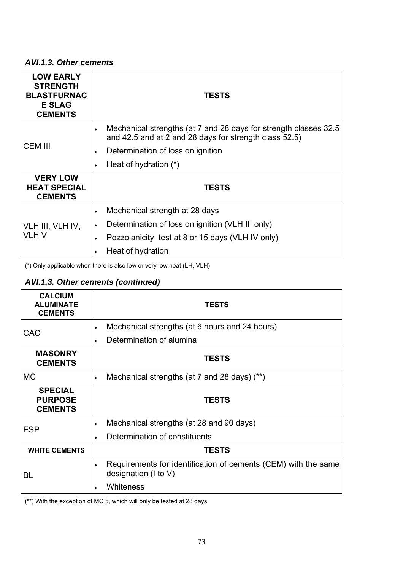### *AVI.1.3. Other cements*

| <b>LOW EARLY</b><br><b>STRENGTH</b><br><b>BLASTFURNAC</b><br><b>E SLAG</b><br><b>CEMENTS</b> | <b>TESTS</b>                                                                                                               |  |  |
|----------------------------------------------------------------------------------------------|----------------------------------------------------------------------------------------------------------------------------|--|--|
|                                                                                              | Mechanical strengths (at 7 and 28 days for strength classes 32.5<br>and 42.5 and at 2 and 28 days for strength class 52.5) |  |  |
| <b>CEM III</b>                                                                               | Determination of loss on ignition<br>$\bullet$                                                                             |  |  |
|                                                                                              | Heat of hydration (*)<br>$\bullet$                                                                                         |  |  |
| <b>VERY LOW</b><br><b>HEAT SPECIAL</b><br><b>CEMENTS</b>                                     | <b>TESTS</b>                                                                                                               |  |  |
|                                                                                              | Mechanical strength at 28 days<br>$\bullet$                                                                                |  |  |
| VLH III, VLH IV,                                                                             | Determination of loss on ignition (VLH III only)<br>$\bullet$                                                              |  |  |
| <b>VLHV</b>                                                                                  | Pozzolanicity test at 8 or 15 days (VLH IV only)<br>$\bullet$                                                              |  |  |
|                                                                                              | Heat of hydration<br>$\bullet$                                                                                             |  |  |

(\*) Only applicable when there is also low or very low heat (LH, VLH)

# *AVI.1.3. Other cements (continued)*

| <b>CALCIUM</b><br><b>ALUMINATE</b><br><b>CEMENTS</b> | <b>TESTS</b>                                                                                        |  |  |  |
|------------------------------------------------------|-----------------------------------------------------------------------------------------------------|--|--|--|
|                                                      | Mechanical strengths (at 6 hours and 24 hours)<br>$\bullet$                                         |  |  |  |
| <b>CAC</b>                                           | Determination of alumina                                                                            |  |  |  |
| <b>MASONRY</b><br><b>CEMENTS</b>                     | <b>TESTS</b>                                                                                        |  |  |  |
| <b>MC</b>                                            | Mechanical strengths (at 7 and 28 days) (**)<br>$\bullet$                                           |  |  |  |
| <b>SPECIAL</b><br><b>PURPOSE</b><br><b>CEMENTS</b>   | <b>TESTS</b>                                                                                        |  |  |  |
| <b>ESP</b>                                           | Mechanical strengths (at 28 and 90 days)<br>$\bullet$                                               |  |  |  |
|                                                      | Determination of constituents<br>$\bullet$                                                          |  |  |  |
| <b>WHITE CEMENTS</b>                                 | <b>TESTS</b>                                                                                        |  |  |  |
| BL                                                   | Requirements for identification of cements (CEM) with the same<br>$\bullet$<br>designation (I to V) |  |  |  |
|                                                      | Whiteness<br>$\bullet$                                                                              |  |  |  |

(\*\*) With the exception of MC 5, which will only be tested at 28 days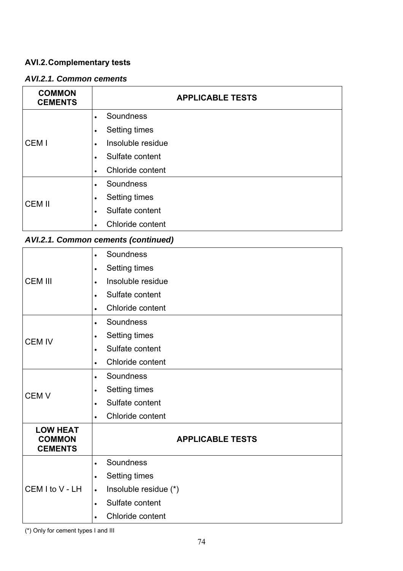## **AVI.2. Complementary tests**

## *AVI.2.1. Common cements*

| <b>COMMON</b><br><b>CEMENTS</b> | <b>APPLICABLE TESTS</b>        |  |  |  |
|---------------------------------|--------------------------------|--|--|--|
|                                 | Soundness                      |  |  |  |
|                                 | Setting times                  |  |  |  |
| CEM I                           | Insoluble residue<br>$\bullet$ |  |  |  |
|                                 | Sulfate content                |  |  |  |
|                                 | Chloride content<br>$\bullet$  |  |  |  |
|                                 | Soundness                      |  |  |  |
| <b>CEM II</b>                   | Setting times                  |  |  |  |
|                                 | Sulfate content<br>$\bullet$   |  |  |  |
|                                 | Chloride content               |  |  |  |

# *AVI.2.1. Common cements (continued)*

| <b>CEM III</b>                                     | Soundness<br>$\bullet$             |  |  |
|----------------------------------------------------|------------------------------------|--|--|
|                                                    | <b>Setting times</b><br>$\bullet$  |  |  |
|                                                    | Insoluble residue                  |  |  |
|                                                    | Sulfate content<br>$\bullet$       |  |  |
|                                                    | Chloride content<br>$\bullet$      |  |  |
|                                                    | Soundness<br>$\bullet$             |  |  |
|                                                    | <b>Setting times</b><br>$\bullet$  |  |  |
| <b>CEM IV</b>                                      | Sulfate content<br>$\bullet$       |  |  |
|                                                    | Chloride content<br>$\bullet$      |  |  |
|                                                    | Soundness<br>$\bullet$             |  |  |
| <b>CEMV</b>                                        | <b>Setting times</b><br>$\bullet$  |  |  |
|                                                    | Sulfate content<br>$\bullet$       |  |  |
|                                                    | Chloride content<br>$\bullet$      |  |  |
| <b>LOW HEAT</b><br><b>COMMON</b><br><b>CEMENTS</b> | <b>APPLICABLE TESTS</b>            |  |  |
|                                                    | Soundness<br>$\bullet$             |  |  |
| CEM I to V - LH                                    | <b>Setting times</b><br>$\bullet$  |  |  |
|                                                    | Insoluble residue (*)<br>$\bullet$ |  |  |
|                                                    | Sulfate content                    |  |  |
|                                                    | Chloride content                   |  |  |

(\*) Only for cement types I and III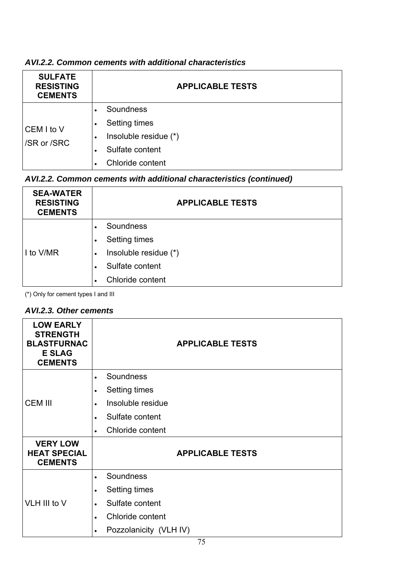| <b>SULFATE</b><br><b>RESISTING</b><br><b>CEMENTS</b> | <b>APPLICABLE TESTS</b>                                                                    |  |  |  |  |
|------------------------------------------------------|--------------------------------------------------------------------------------------------|--|--|--|--|
| CEM I to V<br>/SR or /SRC                            | Soundness<br>Setting times<br>Insoluble residue (*)<br>Sulfate content<br>Chloride content |  |  |  |  |

# *AVI.2.2. Common cements with additional characteristics*

# *AVI.2.2. Common cements with additional characteristics (continued)*

| <b>SEA-WATER</b><br><b>RESISTING</b><br><b>CEMENTS</b> | <b>APPLICABLE TESTS</b>            |  |  |  |
|--------------------------------------------------------|------------------------------------|--|--|--|
| I to V/MR                                              | Soundness                          |  |  |  |
|                                                        | <b>Setting times</b>               |  |  |  |
|                                                        | Insoluble residue (*)<br>$\bullet$ |  |  |  |
|                                                        | Sulfate content                    |  |  |  |
|                                                        | Chloride content                   |  |  |  |

(\*) Only for cement types I and III

## *AVI.2.3. Other cements*

| <b>LOW EARLY</b><br><b>STRENGTH</b><br><b>BLASTFURNAC</b><br><b>E SLAG</b><br><b>CEMENTS</b> | <b>APPLICABLE TESTS</b>             |  |  |
|----------------------------------------------------------------------------------------------|-------------------------------------|--|--|
|                                                                                              | Soundness<br>$\bullet$              |  |  |
|                                                                                              | Setting times<br>$\bullet$          |  |  |
| <b>CEM III</b>                                                                               | Insoluble residue                   |  |  |
|                                                                                              | Sulfate content<br>$\bullet$        |  |  |
|                                                                                              | Chloride content<br>$\bullet$       |  |  |
| <b>VERY LOW</b><br><b>HEAT SPECIAL</b><br><b>CEMENTS</b>                                     | <b>APPLICABLE TESTS</b>             |  |  |
|                                                                                              | Soundness                           |  |  |
| VLH III to V                                                                                 | Setting times<br>$\bullet$          |  |  |
|                                                                                              | Sulfate content<br>$\bullet$        |  |  |
|                                                                                              | Chloride content<br>$\bullet$       |  |  |
|                                                                                              | Pozzolanicity (VLH IV)<br>$\bullet$ |  |  |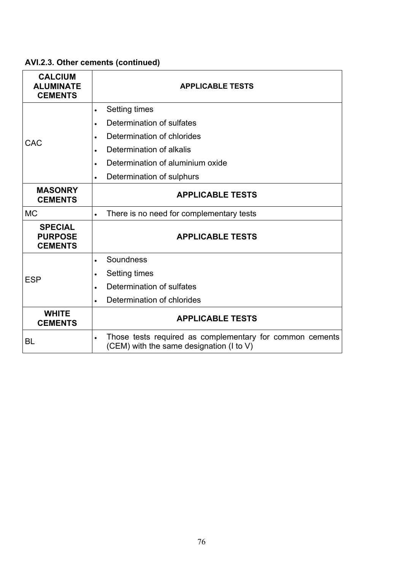| <b>CALCIUM</b><br><b>ALUMINATE</b><br><b>CEMENTS</b> | <b>APPLICABLE TESTS</b>                                                                              |  |  |  |  |
|------------------------------------------------------|------------------------------------------------------------------------------------------------------|--|--|--|--|
|                                                      | <b>Setting times</b><br>$\bullet$                                                                    |  |  |  |  |
|                                                      | Determination of sulfates<br>$\bullet$                                                               |  |  |  |  |
| CAC                                                  | Determination of chlorides<br>$\bullet$                                                              |  |  |  |  |
|                                                      | Determination of alkalis<br>$\bullet$                                                                |  |  |  |  |
|                                                      | Determination of aluminium oxide<br>$\bullet$                                                        |  |  |  |  |
|                                                      | Determination of sulphurs<br>$\bullet$                                                               |  |  |  |  |
| <b>MASONRY</b><br><b>CEMENTS</b>                     | <b>APPLICABLE TESTS</b>                                                                              |  |  |  |  |
| <b>MC</b>                                            | There is no need for complementary tests                                                             |  |  |  |  |
| <b>SPECIAL</b><br><b>PURPOSE</b><br><b>CEMENTS</b>   | <b>APPLICABLE TESTS</b>                                                                              |  |  |  |  |
|                                                      | Soundness<br>$\bullet$                                                                               |  |  |  |  |
| <b>ESP</b>                                           | <b>Setting times</b><br>$\bullet$                                                                    |  |  |  |  |
|                                                      | Determination of sulfates<br>$\bullet$                                                               |  |  |  |  |
|                                                      | Determination of chlorides<br>$\bullet$                                                              |  |  |  |  |
| <b>WHITE</b><br><b>CEMENTS</b>                       | <b>APPLICABLE TESTS</b>                                                                              |  |  |  |  |
| <b>BL</b>                                            | Those tests required as complementary for common cements<br>(CEM) with the same designation (I to V) |  |  |  |  |

# **AVI.2.3. Other cements (continued)**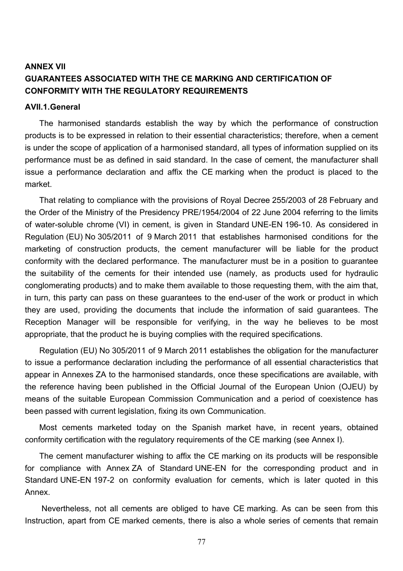# **ANNEX VII GUARANTEES ASSOCIATED WITH THE CE MARKING AND CERTIFICATION OF CONFORMITY WITH THE REGULATORY REQUIREMENTS**

#### **AVII.1. General**

The harmonised standards establish the way by which the performance of construction products is to be expressed in relation to their essential characteristics; therefore, when a cement is under the scope of application of a harmonised standard, all types of information supplied on its performance must be as defined in said standard. In the case of cement, the manufacturer shall issue a performance declaration and affix the CE marking when the product is placed to the market.

 conformity with the declared performance. The manufacturer must be in a position to guarantee That relating to compliance with the provisions of Royal Decree 255/2003 of 28 February and the Order of the Ministry of the Presidency PRE/1954/2004 of 22 June 2004 referring to the limits of water-soluble chrome (VI) in cement, is given in Standard UNE-EN 196-10. As considered in Regulation (EU) No 305/2011 of 9 March 2011 that establishes harmonised conditions for the marketing of construction products, the cement manufacturer will be liable for the product the suitability of the cements for their intended use (namely, as products used for hydraulic conglomerating products) and to make them available to those requesting them, with the aim that, in turn, this party can pass on these guarantees to the end-user of the work or product in which they are used, providing the documents that include the information of said guarantees. The Reception Manager will be responsible for verifying, in the way he believes to be most appropriate, that the product he is buying complies with the required specifications.

Regulation (EU) No 305/2011 of 9 March 2011 establishes the obligation for the manufacturer to issue a performance declaration including the performance of all essential characteristics that appear in Annexes ZA to the harmonised standards, once these specifications are available, with the reference having been published in the Official Journal of the European Union (OJEU) by means of the suitable European Commission Communication and a period of coexistence has been passed with current legislation, fixing its own Communication.

Most cements marketed today on the Spanish market have, in recent years, obtained conformity certification with the regulatory requirements of the CE marking (see Annex I).

The cement manufacturer wishing to affix the CE marking on its products will be responsible for compliance with Annex ZA of Standard UNE-EN for the corresponding product and in Standard UNE-EN 197-2 on conformity evaluation for cements, which is later quoted in this Annex.

 Nevertheless, not all cements are obliged to have CE marking. As can be seen from this Instruction, apart from CE marked cements, there is also a whole series of cements that remain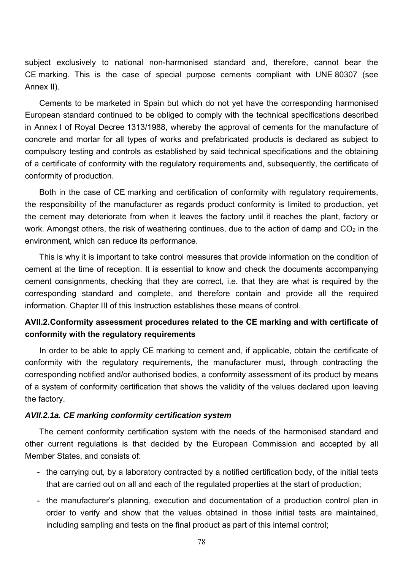subject exclusively to national non-harmonised standard and, therefore, cannot bear the CE marking. This is the case of special purpose cements compliant with UNE 80307 (see Annex II).

Cements to be marketed in Spain but which do not yet have the corresponding harmonised European standard continued to be obliged to comply with the technical specifications described in Annex I of Royal Decree 1313/1988, whereby the approval of cements for the manufacture of concrete and mortar for all types of works and prefabricated products is declared as subject to compulsory testing and controls as established by said technical specifications and the obtaining of a certificate of conformity with the regulatory requirements and, subsequently, the certificate of conformity of production.

Both in the case of CE marking and certification of conformity with regulatory requirements, the responsibility of the manufacturer as regards product conformity is limited to production, yet the cement may deteriorate from when it leaves the factory until it reaches the plant, factory or work. Amongst others, the risk of weathering continues, due to the action of damp and  $CO<sub>2</sub>$  in the environment, which can reduce its performance.

This is why it is important to take control measures that provide information on the condition of cement at the time of reception. It is essential to know and check the documents accompanying cement consignments, checking that they are correct, i.e. that they are what is required by the corresponding standard and complete, and therefore contain and provide all the required information. Chapter III of this Instruction establishes these means of control.

## **AVII.2. Conformity assessment procedures related to the CE marking and with certificate of conformity with the regulatory requirements**

 of a system of conformity certification that shows the validity of the values declared upon leaving In order to be able to apply CE marking to cement and, if applicable, obtain the certificate of conformity with the regulatory requirements, the manufacturer must, through contracting the corresponding notified and/or authorised bodies, a conformity assessment of its product by means the factory.

### *AVII.2.1a. CE marking conformity certification system*

The cement conformity certification system with the needs of the harmonised standard and other current regulations is that decided by the European Commission and accepted by all Member States, and consists of:

- the carrying out, by a laboratory contracted by a notified certification body, of the initial tests that are carried out on all and each of the regulated properties at the start of production;
- the manufacturer's planning, execution and documentation of a production control plan in order to verify and show that the values obtained in those initial tests are maintained, including sampling and tests on the final product as part of this internal control;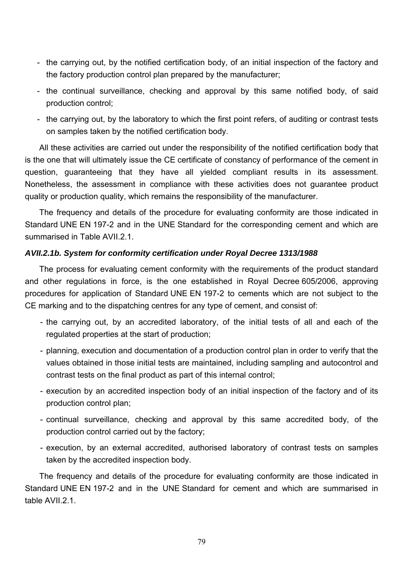- the carrying out, by the notified certification body, of an initial inspection of the factory and the factory production control plan prepared by the manufacturer;
- the continual surveillance, checking and approval by this same notified body, of said production control;
- the carrying out, by the laboratory to which the first point refers, of auditing or contrast tests on samples taken by the notified certification body.

All these activities are carried out under the responsibility of the notified certification body that is the one that will ultimately issue the CE certificate of constancy of performance of the cement in question, guaranteeing that they have all yielded compliant results in its assessment. Nonetheless, the assessment in compliance with these activities does not guarantee product quality or production quality, which remains the responsibility of the manufacturer.

The frequency and details of the procedure for evaluating conformity are those indicated in Standard UNE EN 197-2 and in the UNE Standard for the corresponding cement and which are summarised in Table AVII.2.1.

### *AVII.2.1b. System for conformity certification under Royal Decree 1313/1988*

The process for evaluating cement conformity with the requirements of the product standard and other regulations in force, is the one established in Royal Decree 605/2006, approving procedures for application of Standard UNE EN 197-2 to cements which are not subject to the CE marking and to the dispatching centres for any type of cement, and consist of:

- the carrying out, by an accredited laboratory, of the initial tests of all and each of the regulated properties at the start of production;
- planning, execution and documentation of a production control plan in order to verify that the values obtained in those initial tests are maintained, including sampling and autocontrol and contrast tests on the final product as part of this internal control;
- execution by an accredited inspection body of an initial inspection of the factory and of its production control plan;
- continual surveillance, checking and approval by this same accredited body, of the production control carried out by the factory;
- execution, by an external accredited, authorised laboratory of contrast tests on samples taken by the accredited inspection body.

The frequency and details of the procedure for evaluating conformity are those indicated in Standard UNE EN 197-2 and in the UNE Standard for cement and which are summarised in table AVII.2.1.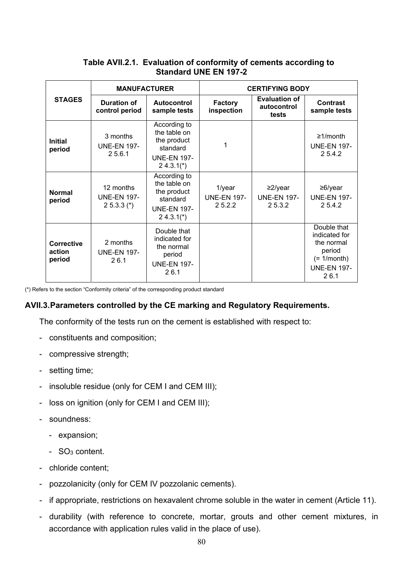## **Table AVII.2.1. Evaluation of conformity of cements according to Standard UNE EN 197-2**

| <b>STAGES</b>                         | <b>MANUFACTURER</b>                             |                                                                                            | <b>CERTIFYING BODY</b>                 |                                               |                                                                                                     |  |
|---------------------------------------|-------------------------------------------------|--------------------------------------------------------------------------------------------|----------------------------------------|-----------------------------------------------|-----------------------------------------------------------------------------------------------------|--|
|                                       | Duration of<br>control period                   | Autocontrol<br>sample tests                                                                | <b>Factory</b><br>inspection           | <b>Evaluation of</b><br>autocontrol<br>tests  | <b>Contrast</b><br>sample tests                                                                     |  |
| <b>Initial</b><br>period              | 3 months<br><b>UNE-EN 197-</b><br>25.6.1        | According to<br>the table on<br>the product<br>standard<br><b>UNE-EN 197-</b><br>$24.3.1*$ | 1                                      |                                               | $\geq$ 1/month<br><b>UNE-EN 197-</b><br>2 5.4.2                                                     |  |
| <b>Normal</b><br>period               | 12 months<br><b>UNE-EN 197-</b><br>$25.3.3$ (*) | According to<br>the table on<br>the product<br>standard<br><b>UNE-EN 197-</b><br>$24.3.1*$ | 1/year<br><b>UNE-EN 197-</b><br>25.2.2 | $\geq$ 2/year<br><b>UNE-EN 197-</b><br>25.3.2 | $\geq 6$ /year<br><b>UNE-EN 197-</b><br>25.4.2                                                      |  |
| <b>Corrective</b><br>action<br>period | 2 months<br><b>UNE-EN 197-</b><br>26.1          | Double that<br>indicated for<br>the normal<br>period<br><b>UNE-EN 197-</b><br>26.1         |                                        |                                               | Double that<br>indicated for<br>the normal<br>period<br>$(= 1/month)$<br><b>UNE-EN 197-</b><br>26.1 |  |

(\*) Refers to the section "Conformity criteria" of the corresponding product standard

### **AVII.3. Parameters controlled by the CE marking and Regulatory Requirements.**

The conformity of the tests run on the cement is established with respect to:

- constituents and composition;
- compressive strength;
- setting time;
- insoluble residue (only for CEM I and CEM III);
- loss on ignition (only for CEM I and CEM III);
- soundness:
	- expansion;
	- SO3 content.
- chloride content;
- pozzolanicity (only for CEM IV pozzolanic cements).
- if appropriate, restrictions on hexavalent chrome soluble in the water in cement (Article 11).
- durability (with reference to concrete, mortar, grouts and other cement mixtures, in accordance with application rules valid in the place of use).